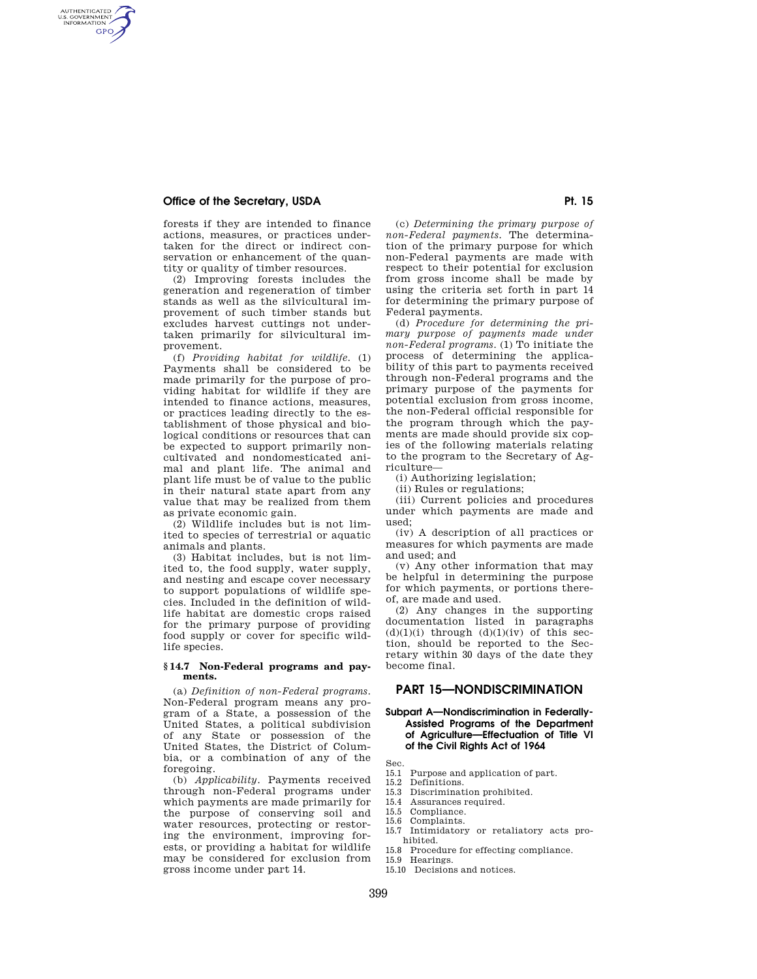# **Office of the Secretary, USDA Pt. 15 and Pt. 15 and Pt. 15 and Pt. 15 and Pt. 15 and Pt. 15 and Pt. 15 and Pt. 15 and Pt. 15 and Pt. 15 and Pt. 15 and Pt. 15 and Pt. 15 and Pt. 15 and Pt. 15 and Pt. 15 and Pt. 15 and Pt.**

AUTHENTICATED<br>U.S. GOVERNMENT<br>INFORMATION **GPO** 

> forests if they are intended to finance actions, measures, or practices undertaken for the direct or indirect conservation or enhancement of the quantity or quality of timber resources.

> (2) Improving forests includes the generation and regeneration of timber stands as well as the silvicultural improvement of such timber stands but excludes harvest cuttings not undertaken primarily for silvicultural improvement.

(f) *Providing habitat for wildlife.* (1) Payments shall be considered to be made primarily for the purpose of providing habitat for wildlife if they are intended to finance actions, measures, or practices leading directly to the establishment of those physical and biological conditions or resources that can be expected to support primarily noncultivated and nondomesticated animal and plant life. The animal and plant life must be of value to the public in their natural state apart from any value that may be realized from them as private economic gain.

(2) Wildlife includes but is not limited to species of terrestrial or aquatic animals and plants.

(3) Habitat includes, but is not limited to, the food supply, water supply, and nesting and escape cover necessary to support populations of wildlife species. Included in the definition of wildlife habitat are domestic crops raised for the primary purpose of providing food supply or cover for specific wildlife species.

#### **§ 14.7 Non-Federal programs and payments.**

(a) *Definition of non-Federal programs.*  Non-Federal program means any program of a State, a possession of the United States, a political subdivision of any State or possession of the United States, the District of Columbia, or a combination of any of the foregoing.

(b) *Applicability.* Payments received through non-Federal programs under which payments are made primarily for the purpose of conserving soil and water resources, protecting or restoring the environment, improving forests, or providing a habitat for wildlife may be considered for exclusion from gross income under part 14.

(c) *Determining the primary purpose of non-Federal payments.* The determination of the primary purpose for which non-Federal payments are made with respect to their potential for exclusion from gross income shall be made by using the criteria set forth in part 14 for determining the primary purpose of Federal payments.

(d) *Procedure for determining the primary purpose of payments made under non-Federal programs.* (1) To initiate the process of determining the applicability of this part to payments received through non-Federal programs and the primary purpose of the payments for potential exclusion from gross income, the non-Federal official responsible for the program through which the payments are made should provide six copies of the following materials relating to the program to the Secretary of Agriculture—

(i) Authorizing legislation;

(ii) Rules or regulations;

(iii) Current policies and procedures under which payments are made and used;

(iv) A description of all practices or measures for which payments are made and used; and

(v) Any other information that may be helpful in determining the purpose for which payments, or portions thereof, are made and used.

(2) Any changes in the supporting documentation listed in paragraphs  $(d)(1)(i)$  through  $(d)(1)(iv)$  of this section, should be reported to the Secretary within 30 days of the date they become final.

# **PART 15—NONDISCRIMINATION**

# **Subpart A—Nondiscrimination in Federally-Assisted Programs of the Department of Agriculture—Effectuation of Title VI of the Civil Rights Act of 1964**

Sec.

- 15.1 Purpose and application of part.
- 15.2 Definitions.
- 15.3 Discrimination prohibited. 15.4 Assurances required.
- 15.5 Compliance.
- 15.6 Complaints.
- 15.7 Intimidatory or retaliatory acts prohibited.
- 15.8 Procedure for effecting compliance.
- 15.9 Hearings. 15.10 Decisions and notices.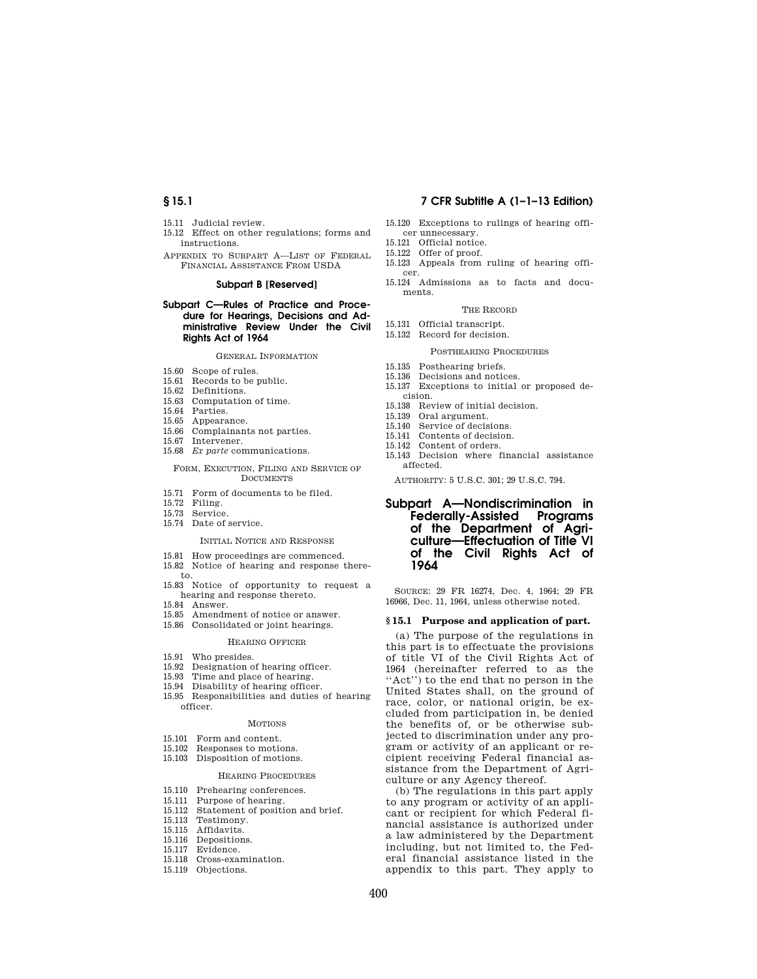- 15.11 Judicial review.
- 15.12 Effect on other regulations; forms and instructions.
- APPENDIX TO SUBPART A—LIST OF FEDERAL FINANCIAL ASSISTANCE FROM USDA

# **Subpart B [Reserved]**

#### **Subpart C—Rules of Practice and Procedure for Hearings, Decisions and Administrative Review Under the Civil Rights Act of 1964**

#### GENERAL INFORMATION

- 15.60 Scope of rules.
- 15.61 Records to be public.
- 15.62 Definitions.
- 15.63 Computation of time.
- 15.64 Parties.
- 15.65 Appearance.
- 15.66 Complainants not parties.
- 15.67 Intervener.
- 15.68 *Ex parte* communications.

#### FORM, EXECUTION, FILING AND SERVICE OF **DOCUMENTS**

- 15.71 Form of documents to be filed.
- 15.72 Filing.
- 15.73 Service.
- 15.74 Date of service.

#### INITIAL NOTICE AND RESPONSE

- 15.81 How proceedings are commenced.
- 15.82 Notice of hearing and response thereto.
- 15.83 Notice of opportunity to request a hearing and response thereto.
- 15.84 Answer.
- 15.85 Amendment of notice or answer. 15.86 Consolidated or joint hearings.
	- HEARING OFFICER
- 15.91 Who presides.
- 15.92 Designation of hearing officer.
- 15.93 Time and place of hearing.
- 15.94 Disability of hearing officer.
- 15.95 Responsibilities and duties of hearing officer.

#### MOTIONS

- 15.101 Form and content.
- 15.102 Responses to motions.
- 15.103 Disposition of motions.

#### HEARING PROCEDURES

- 15.110 Prehearing conferences.
- 15.111 Purpose of hearing.
- 15.112 Statement of position and brief.
- 15.113 Testimony.
- 15.115 Affidavits.
- 15.116 Depositions.
- 15.117 Evidence.
- 15.118 Cross-examination.
- 15.119 Objections.

# **§ 15.1 7 CFR Subtitle A (1–1–13 Edition)**

- 15.120 Exceptions to rulings of hearing officer unnecessary.
- 15.121 Official notice.
- 15.122 Offer of proof.
- 15.123 Appeals from ruling of hearing officer.
- 15.124 Admissions as to facts and documents.

#### THE RECORD

- 15.131 Official transcript.
- 15.132 Record for decision.

#### POSTHEARING PROCEDURES

- 15.135 Posthearing briefs.
- 15.136 Decisions and notices.
- 15.137 Exceptions to initial or proposed de-
- cision. 15.138 Review of initial decision.
- 
- 15.139 Oral argument. 15.140 Service of decisions.
- 
- 15.141 Contents of decision.
- 15.142 Content of orders.
- 15.143 Decision where financial assistance affected.

AUTHORITY: 5 U.S.C. 301; 29 U.S.C. 794.

# **Subpart A—Nondiscrimination in Federally-Assisted Programs of the Department of Agriculture—Effectuation of Title VI of the Civil Rights Act of 1964**

SOURCE: 29 FR 16274, Dec. 4, 1964; 29 FR 16966, Dec. 11, 1964, unless otherwise noted.

#### **§ 15.1 Purpose and application of part.**

(a) The purpose of the regulations in this part is to effectuate the provisions of title VI of the Civil Rights Act of 1964 (hereinafter referred to as the "Act") to the end that no person in the United States shall, on the ground of race, color, or national origin, be excluded from participation in, be denied the benefits of, or be otherwise subjected to discrimination under any program or activity of an applicant or recipient receiving Federal financial assistance from the Department of Agriculture or any Agency thereof.

(b) The regulations in this part apply to any program or activity of an applicant or recipient for which Federal financial assistance is authorized under a law administered by the Department including, but not limited to, the Federal financial assistance listed in the appendix to this part. They apply to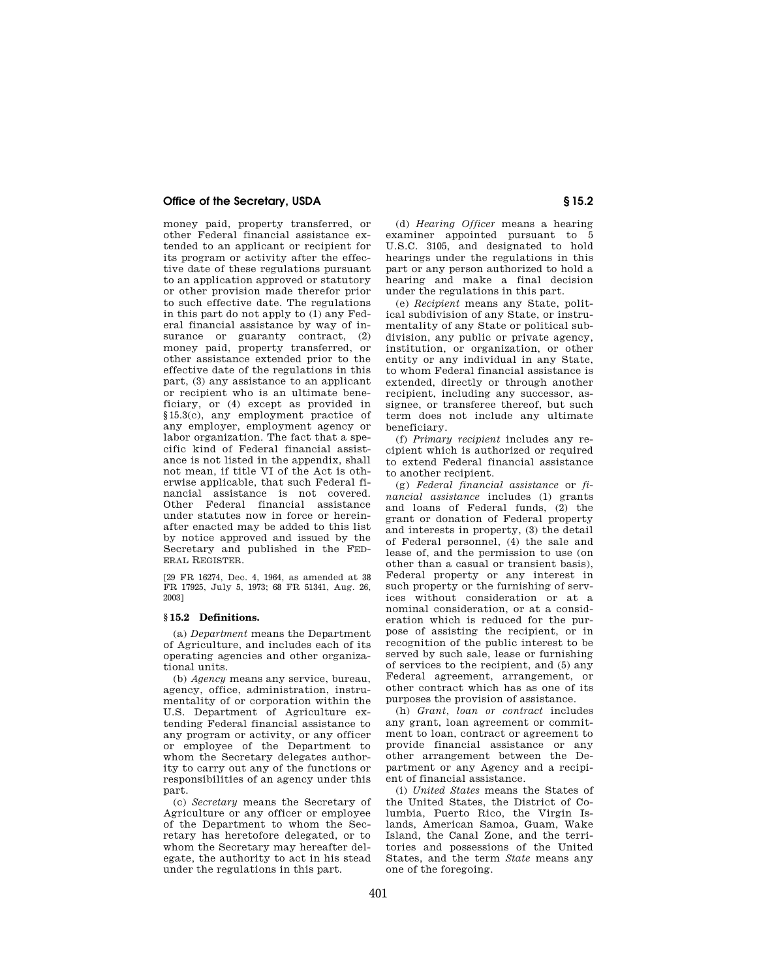# **Office of the Secretary, USDA S** 15.2

money paid, property transferred, or other Federal financial assistance extended to an applicant or recipient for its program or activity after the effective date of these regulations pursuant to an application approved or statutory or other provision made therefor prior to such effective date. The regulations in this part do not apply to (1) any Federal financial assistance by way of insurance or guaranty contract,  $(2)$ money paid, property transferred, or other assistance extended prior to the effective date of the regulations in this part, (3) any assistance to an applicant or recipient who is an ultimate beneficiary, or (4) except as provided in §15.3(c), any employment practice of any employer, employment agency or labor organization. The fact that a specific kind of Federal financial assistance is not listed in the appendix, shall not mean, if title VI of the Act is otherwise applicable, that such Federal financial assistance is not covered. Other Federal financial assistance under statutes now in force or hereinafter enacted may be added to this list by notice approved and issued by the Secretary and published in the FED-ERAL REGISTER.

[29 FR 16274, Dec. 4, 1964, as amended at 38 FR 17925, July 5, 1973; 68 FR 51341, Aug. 26, 2003]

# **§ 15.2 Definitions.**

(a) *Department* means the Department of Agriculture, and includes each of its operating agencies and other organizational units.

(b) *Agency* means any service, bureau, agency, office, administration, instrumentality of or corporation within the U.S. Department of Agriculture extending Federal financial assistance to any program or activity, or any officer or employee of the Department to whom the Secretary delegates authority to carry out any of the functions or responsibilities of an agency under this part.

(c) *Secretary* means the Secretary of Agriculture or any officer or employee of the Department to whom the Secretary has heretofore delegated, or to whom the Secretary may hereafter delegate, the authority to act in his stead under the regulations in this part.

(d) *Hearing Officer* means a hearing examiner appointed pursuant to 5 U.S.C. 3105, and designated to hold hearings under the regulations in this part or any person authorized to hold a hearing and make a final decision under the regulations in this part.

(e) *Recipient* means any State, political subdivision of any State, or instrumentality of any State or political subdivision, any public or private agency, institution, or organization, or other entity or any individual in any State, to whom Federal financial assistance is extended, directly or through another recipient, including any successor, assignee, or transferee thereof, but such term does not include any ultimate beneficiary.

(f) *Primary recipient* includes any recipient which is authorized or required to extend Federal financial assistance to another recipient.

(g) *Federal financial assistance* or *financial assistance* includes (1) grants and loans of Federal funds, (2) the grant or donation of Federal property and interests in property, (3) the detail of Federal personnel, (4) the sale and lease of, and the permission to use (on other than a casual or transient basis), Federal property or any interest in such property or the furnishing of services without consideration or at a nominal consideration, or at a consideration which is reduced for the purpose of assisting the recipient, or in recognition of the public interest to be served by such sale, lease or furnishing of services to the recipient, and (5) any Federal agreement, arrangement, or other contract which has as one of its purposes the provision of assistance.

(h) *Grant, loan or contract* includes any grant, loan agreement or commitment to loan, contract or agreement to provide financial assistance or any other arrangement between the Department or any Agency and a recipient of financial assistance.

(i) *United States* means the States of the United States, the District of Columbia, Puerto Rico, the Virgin Islands, American Samoa, Guam, Wake Island, the Canal Zone, and the territories and possessions of the United States, and the term *State* means any one of the foregoing.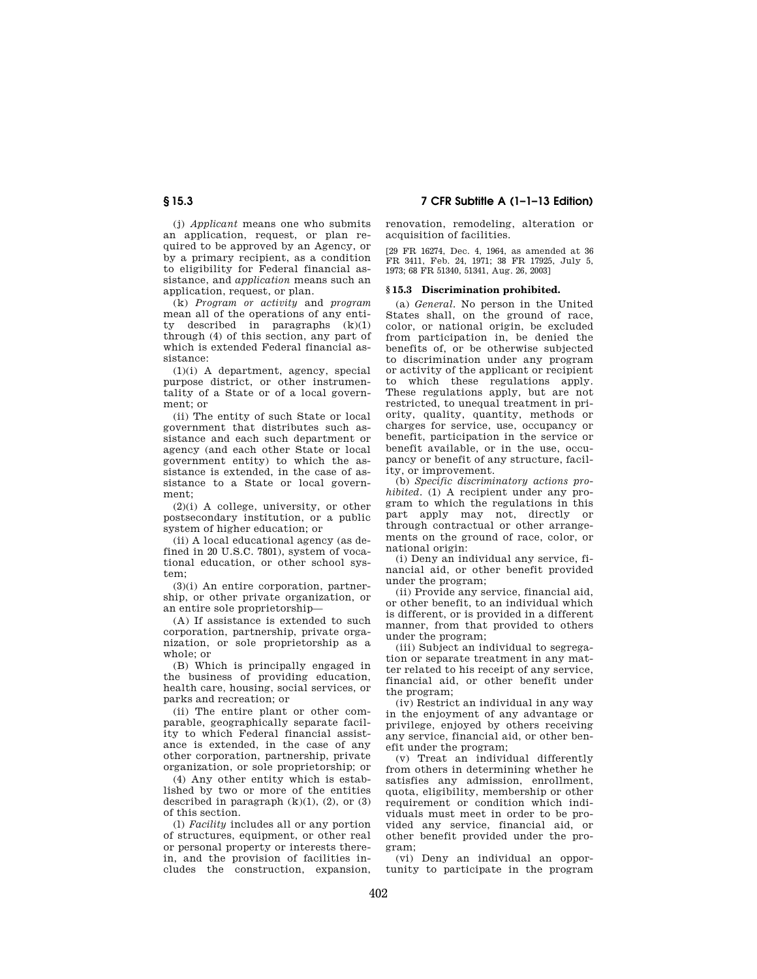(j) *Applicant* means one who submits an application, request, or plan required to be approved by an Agency, or by a primary recipient, as a condition to eligibility for Federal financial assistance, and *application* means such an application, request, or plan.

(k) *Program or activity* and *program*  mean all of the operations of any entity described in paragraphs (k)(1) through (4) of this section, any part of which is extended Federal financial assistance:

(1)(i) A department, agency, special purpose district, or other instrumentality of a State or of a local government; or

(ii) The entity of such State or local government that distributes such assistance and each such department or agency (and each other State or local government entity) to which the assistance is extended, in the case of assistance to a State or local government;

(2)(i) A college, university, or other postsecondary institution, or a public system of higher education; or

(ii) A local educational agency (as defined in 20 U.S.C. 7801), system of vocational education, or other school system;

(3)(i) An entire corporation, partnership, or other private organization, or an entire sole proprietorship—

(A) If assistance is extended to such corporation, partnership, private organization, or sole proprietorship as a whole; or

(B) Which is principally engaged in the business of providing education, health care, housing, social services, or parks and recreation; or

(ii) The entire plant or other comparable, geographically separate facility to which Federal financial assistance is extended, in the case of any other corporation, partnership, private organization, or sole proprietorship; or

(4) Any other entity which is established by two or more of the entities described in paragraph  $(k)(1)$ ,  $(2)$ , or  $(3)$ of this section.

(l) *Facility* includes all or any portion of structures, equipment, or other real or personal property or interests therein, and the provision of facilities includes the construction, expansion,

**§ 15.3 7 CFR Subtitle A (1–1–13 Edition)** 

renovation, remodeling, alteration or acquisition of facilities.

[29 FR 16274, Dec. 4, 1964, as amended at 36 FR 3411, Feb. 24, 1971; 38 FR 17925, July 5, 1973; 68 FR 51340, 51341, Aug. 26, 2003]

#### **§ 15.3 Discrimination prohibited.**

(a) *General.* No person in the United States shall, on the ground of race, color, or national origin, be excluded from participation in, be denied the benefits of, or be otherwise subjected to discrimination under any program or activity of the applicant or recipient to which these regulations apply. These regulations apply, but are not restricted, to unequal treatment in priority, quality, quantity, methods or charges for service, use, occupancy or benefit, participation in the service or benefit available, or in the use, occupancy or benefit of any structure, facility, or improvement.

(b) *Specific discriminatory actions prohibited.* (1) A recipient under any program to which the regulations in this part apply may not, directly or through contractual or other arrangements on the ground of race, color, or national origin:

(i) Deny an individual any service, financial aid, or other benefit provided under the program;

(ii) Provide any service, financial aid, or other benefit, to an individual which is different, or is provided in a different manner, from that provided to others under the program;

(iii) Subject an individual to segregation or separate treatment in any matter related to his receipt of any service, financial aid, or other benefit under the program;

(iv) Restrict an individual in any way in the enjoyment of any advantage or privilege, enjoyed by others receiving any service, financial aid, or other benefit under the program;

(v) Treat an individual differently from others in determining whether he satisfies any admission, enrollment, quota, eligibility, membership or other requirement or condition which individuals must meet in order to be provided any service, financial aid, or other benefit provided under the program;

(vi) Deny an individual an opportunity to participate in the program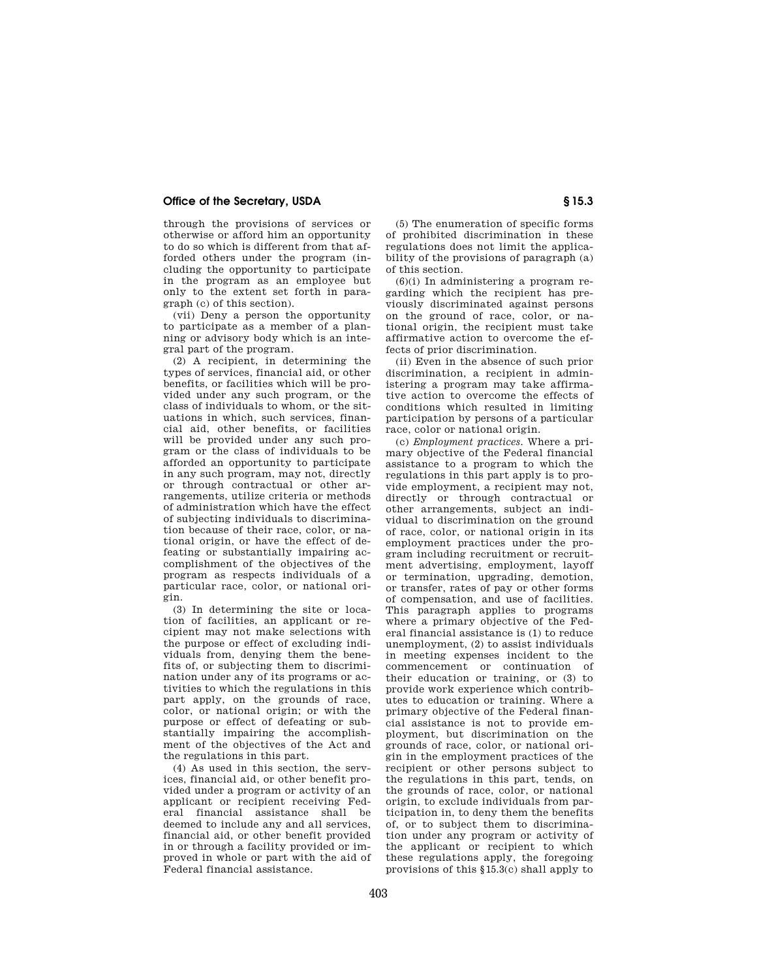# **Office of the Secretary, USDA S** 15.3

through the provisions of services or otherwise or afford him an opportunity to do so which is different from that afforded others under the program (including the opportunity to participate in the program as an employee but only to the extent set forth in paragraph (c) of this section).

(vii) Deny a person the opportunity to participate as a member of a planning or advisory body which is an integral part of the program.

(2) A recipient, in determining the types of services, financial aid, or other benefits, or facilities which will be provided under any such program, or the class of individuals to whom, or the situations in which, such services, financial aid, other benefits, or facilities will be provided under any such program or the class of individuals to be afforded an opportunity to participate in any such program, may not, directly or through contractual or other arrangements, utilize criteria or methods of administration which have the effect of subjecting individuals to discrimination because of their race, color, or national origin, or have the effect of defeating or substantially impairing accomplishment of the objectives of the program as respects individuals of a particular race, color, or national origin.

(3) In determining the site or location of facilities, an applicant or recipient may not make selections with the purpose or effect of excluding individuals from, denying them the benefits of, or subjecting them to discrimination under any of its programs or activities to which the regulations in this part apply, on the grounds of race, color, or national origin; or with the purpose or effect of defeating or substantially impairing the accomplishment of the objectives of the Act and the regulations in this part.

(4) As used in this section, the services, financial aid, or other benefit provided under a program or activity of an applicant or recipient receiving Federal financial assistance shall be deemed to include any and all services, financial aid, or other benefit provided in or through a facility provided or improved in whole or part with the aid of Federal financial assistance.

(5) The enumeration of specific forms of prohibited discrimination in these regulations does not limit the applicability of the provisions of paragraph (a) of this section.

 $(6)(i)$  In administering a program regarding which the recipient has previously discriminated against persons on the ground of race, color, or national origin, the recipient must take affirmative action to overcome the effects of prior discrimination.

(ii) Even in the absence of such prior discrimination, a recipient in administering a program may take affirmative action to overcome the effects of conditions which resulted in limiting participation by persons of a particular race, color or national origin.

(c) *Employment practices.* Where a primary objective of the Federal financial assistance to a program to which the regulations in this part apply is to provide employment, a recipient may not, directly or through contractual or other arrangements, subject an individual to discrimination on the ground of race, color, or national origin in its employment practices under the program including recruitment or recruitment advertising, employment, layoff or termination, upgrading, demotion, or transfer, rates of pay or other forms of compensation, and use of facilities. This paragraph applies to programs where a primary objective of the Federal financial assistance is (1) to reduce unemployment, (2) to assist individuals in meeting expenses incident to the commencement or continuation of their education or training, or (3) to provide work experience which contributes to education or training. Where a primary objective of the Federal financial assistance is not to provide employment, but discrimination on the grounds of race, color, or national origin in the employment practices of the recipient or other persons subject to the regulations in this part, tends, on the grounds of race, color, or national origin, to exclude individuals from participation in, to deny them the benefits of, or to subject them to discrimination under any program or activity of the applicant or recipient to which these regulations apply, the foregoing provisions of this §15.3(c) shall apply to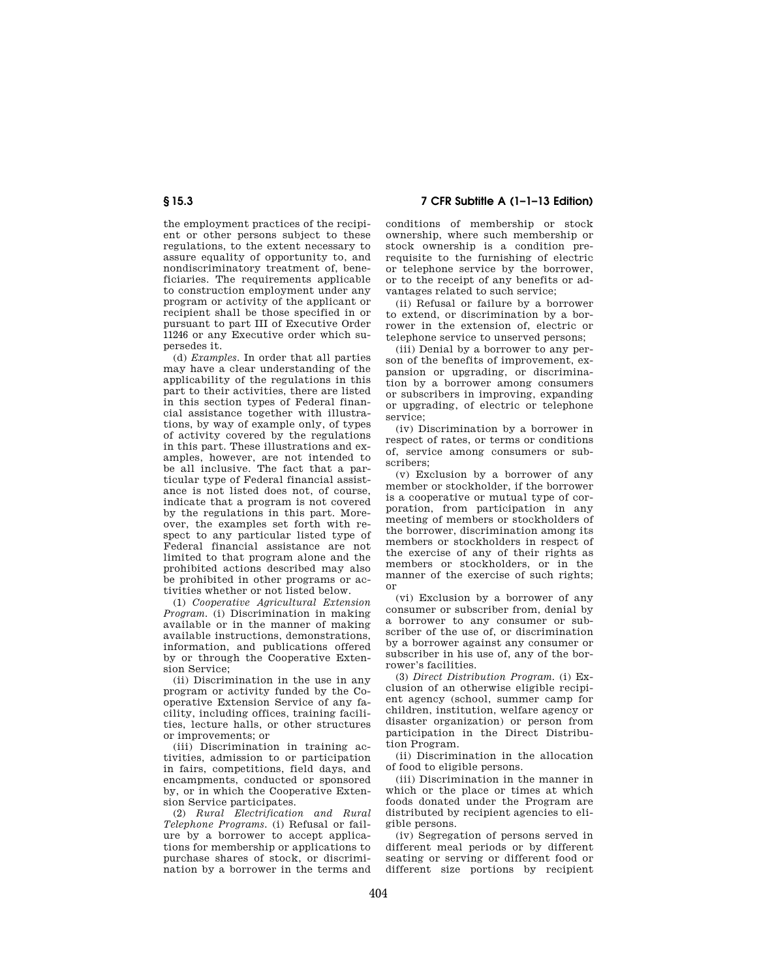# **§ 15.3 7 CFR Subtitle A (1–1–13 Edition)**

the employment practices of the recipient or other persons subject to these regulations, to the extent necessary to assure equality of opportunity to, and nondiscriminatory treatment of, beneficiaries. The requirements applicable to construction employment under any program or activity of the applicant or recipient shall be those specified in or pursuant to part III of Executive Order 11246 or any Executive order which supersedes it.

(d) *Examples.* In order that all parties may have a clear understanding of the applicability of the regulations in this part to their activities, there are listed in this section types of Federal financial assistance together with illustrations, by way of example only, of types of activity covered by the regulations in this part. These illustrations and examples, however, are not intended to be all inclusive. The fact that a particular type of Federal financial assistance is not listed does not, of course, indicate that a program is not covered by the regulations in this part. Moreover, the examples set forth with respect to any particular listed type of Federal financial assistance are not limited to that program alone and the prohibited actions described may also be prohibited in other programs or activities whether or not listed below.

(1) *Cooperative Agricultural Extension Program.* (i) Discrimination in making available or in the manner of making available instructions, demonstrations, information, and publications offered by or through the Cooperative Extension Service;

(ii) Discrimination in the use in any program or activity funded by the Cooperative Extension Service of any facility, including offices, training facilities, lecture halls, or other structures or improvements; or

(iii) Discrimination in training activities, admission to or participation in fairs, competitions, field days, and encampments, conducted or sponsored by, or in which the Cooperative Extension Service participates.

(2) *Rural Electrification and Rural Telephone Programs.* (i) Refusal or failure by a borrower to accept applications for membership or applications to purchase shares of stock, or discrimination by a borrower in the terms and conditions of membership or stock ownership, where such membership or stock ownership is a condition prerequisite to the furnishing of electric or telephone service by the borrower, or to the receipt of any benefits or advantages related to such service;

(ii) Refusal or failure by a borrower to extend, or discrimination by a borrower in the extension of, electric or telephone service to unserved persons;

(iii) Denial by a borrower to any person of the benefits of improvement, expansion or upgrading, or discrimination by a borrower among consumers or subscribers in improving, expanding or upgrading, of electric or telephone service;

(iv) Discrimination by a borrower in respect of rates, or terms or conditions of, service among consumers or subscribers;

(v) Exclusion by a borrower of any member or stockholder, if the borrower is a cooperative or mutual type of corporation, from participation in any meeting of members or stockholders of the borrower, discrimination among its members or stockholders in respect of the exercise of any of their rights as members or stockholders, or in the manner of the exercise of such rights; or

(vi) Exclusion by a borrower of any consumer or subscriber from, denial by a borrower to any consumer or subscriber of the use of, or discrimination by a borrower against any consumer or subscriber in his use of, any of the borrower's facilities.

(3) *Direct Distribution Program.* (i) Exclusion of an otherwise eligible recipient agency (school, summer camp for children, institution, welfare agency or disaster organization) or person from participation in the Direct Distribution Program.

(ii) Discrimination in the allocation of food to eligible persons.

(iii) Discrimination in the manner in which or the place or times at which foods donated under the Program are distributed by recipient agencies to eligible persons.

(iv) Segregation of persons served in different meal periods or by different seating or serving or different food or different size portions by recipient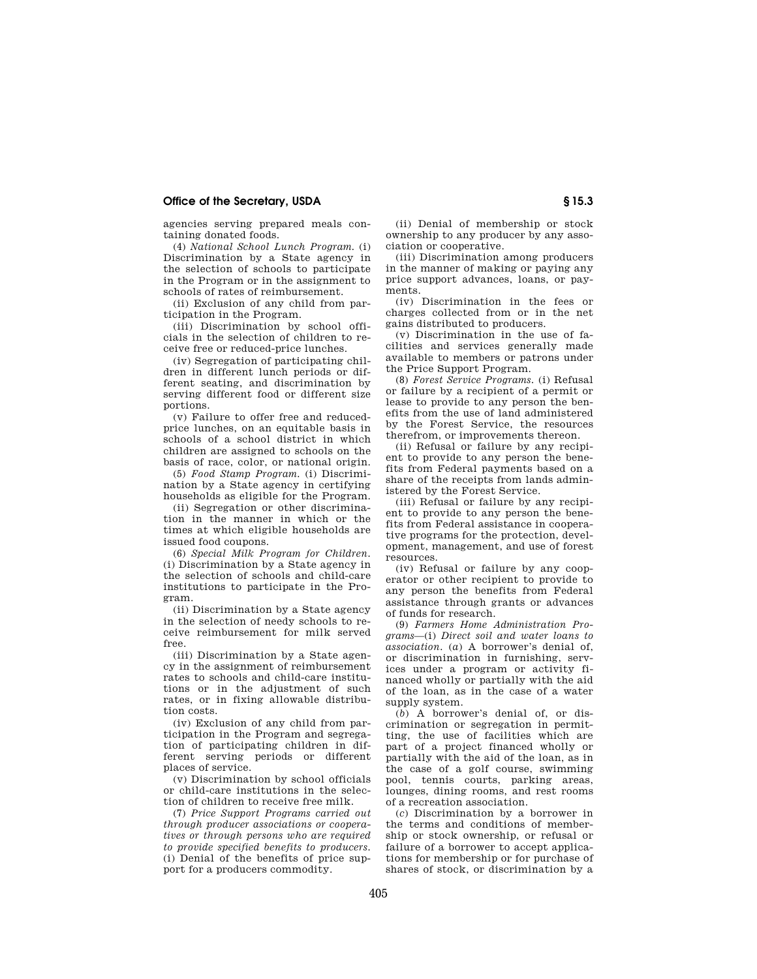# **Office of the Secretary, USDA S** 15.3

agencies serving prepared meals containing donated foods.

(4) *National School Lunch Program.* (i) Discrimination by a State agency in the selection of schools to participate in the Program or in the assignment to schools of rates of reimbursement.

(ii) Exclusion of any child from participation in the Program.

(iii) Discrimination by school officials in the selection of children to receive free or reduced-price lunches.

(iv) Segregation of participating children in different lunch periods or different seating, and discrimination by serving different food or different size portions.

(v) Failure to offer free and reducedprice lunches, on an equitable basis in schools of a school district in which children are assigned to schools on the basis of race, color, or national origin.

(5) *Food Stamp Program.* (i) Discrimination by a State agency in certifying households as eligible for the Program.

(ii) Segregation or other discrimination in the manner in which or the times at which eligible households are issued food coupons.

(6) *Special Milk Program for Children.*  (i) Discrimination by a State agency in the selection of schools and child-care institutions to participate in the Program.

(ii) Discrimination by a State agency in the selection of needy schools to receive reimbursement for milk served free.

(iii) Discrimination by a State agency in the assignment of reimbursement rates to schools and child-care institutions or in the adjustment of such rates, or in fixing allowable distribution costs.

(iv) Exclusion of any child from participation in the Program and segregation of participating children in different serving periods or different places of service.

(v) Discrimination by school officials or child-care institutions in the selection of children to receive free milk.

(7) *Price Support Programs carried out through producer associations or cooperatives or through persons who are required to provide specified benefits to producers.*  (i) Denial of the benefits of price support for a producers commodity.

(ii) Denial of membership or stock ownership to any producer by any association or cooperative.

(iii) Discrimination among producers in the manner of making or paying any price support advances, loans, or payments.

(iv) Discrimination in the fees or charges collected from or in the net gains distributed to producers.

(v) Discrimination in the use of facilities and services generally made available to members or patrons under the Price Support Program.

(8) *Forest Service Programs.* (i) Refusal or failure by a recipient of a permit or lease to provide to any person the benefits from the use of land administered by the Forest Service, the resources therefrom, or improvements thereon.

(ii) Refusal or failure by any recipient to provide to any person the benefits from Federal payments based on a share of the receipts from lands administered by the Forest Service.

(iii) Refusal or failure by any recipient to provide to any person the benefits from Federal assistance in cooperative programs for the protection, development, management, and use of forest resources.

(iv) Refusal or failure by any cooperator or other recipient to provide to any person the benefits from Federal assistance through grants or advances of funds for research.

(9) *Farmers Home Administration Programs*—(i) *Direct soil and water loans to association.* (*a*) A borrower's denial of, or discrimination in furnishing, services under a program or activity financed wholly or partially with the aid of the loan, as in the case of a water supply system.

(*b*) A borrower's denial of, or discrimination or segregation in permitting, the use of facilities which are part of a project financed wholly or partially with the aid of the loan, as in the case of a golf course, swimming pool, tennis courts, parking areas, lounges, dining rooms, and rest rooms of a recreation association.

(*c*) Discrimination by a borrower in the terms and conditions of membership or stock ownership, or refusal or failure of a borrower to accept applications for membership or for purchase of shares of stock, or discrimination by a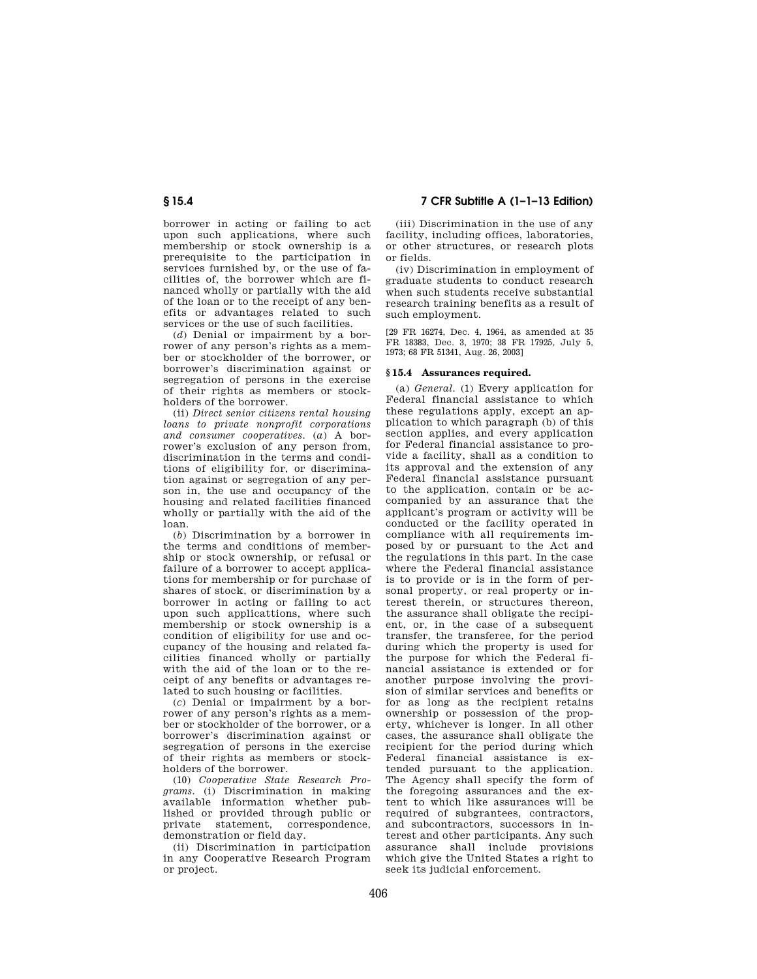# **§ 15.4 7 CFR Subtitle A (1–1–13 Edition)**

borrower in acting or failing to act upon such applications, where such membership or stock ownership is a prerequisite to the participation in services furnished by, or the use of facilities of, the borrower which are financed wholly or partially with the aid of the loan or to the receipt of any benefits or advantages related to such services or the use of such facilities.

(*d*) Denial or impairment by a borrower of any person's rights as a member or stockholder of the borrower, or borrower's discrimination against or segregation of persons in the exercise of their rights as members or stockholders of the borrower.

(ii) *Direct senior citizens rental housing loans to private nonprofit corporations and consumer cooperatives.* (*a*) A borrower's exclusion of any person from, discrimination in the terms and conditions of eligibility for, or discrimination against or segregation of any person in, the use and occupancy of the housing and related facilities financed wholly or partially with the aid of the loan.

(*b*) Discrimination by a borrower in the terms and conditions of membership or stock ownership, or refusal or failure of a borrower to accept applications for membership or for purchase of shares of stock, or discrimination by a borrower in acting or failing to act upon such applicattions, where such membership or stock ownership is a condition of eligibility for use and occupancy of the housing and related facilities financed wholly or partially with the aid of the loan or to the receipt of any benefits or advantages related to such housing or facilities.

(*c*) Denial or impairment by a borrower of any person's rights as a member or stockholder of the borrower, or a borrower's discrimination against or segregation of persons in the exercise of their rights as members or stockholders of the borrower.

(10) *Cooperative State Research Programs.* (i) Discrimination in making available information whether published or provided through public or private statement, correspondence, demonstration or field day.

(ii) Discrimination in participation in any Cooperative Research Program or project.

(iii) Discrimination in the use of any facility, including offices, laboratories, or other structures, or research plots or fields.

(iv) Discrimination in employment of graduate students to conduct research when such students receive substantial research training benefits as a result of such employment.

[29 FR 16274, Dec. 4, 1964, as amended at 35 FR 18383, Dec. 3, 1970; 38 FR 17925, July 5, 1973; 68 FR 51341, Aug. 26, 2003]

#### **§ 15.4 Assurances required.**

(a) *General.* (1) Every application for Federal financial assistance to which these regulations apply, except an application to which paragraph (b) of this section applies, and every application for Federal financial assistance to provide a facility, shall as a condition to its approval and the extension of any Federal financial assistance pursuant to the application, contain or be accompanied by an assurance that the applicant's program or activity will be conducted or the facility operated in compliance with all requirements imposed by or pursuant to the Act and the regulations in this part. In the case where the Federal financial assistance is to provide or is in the form of personal property, or real property or interest therein, or structures thereon, the assurance shall obligate the recipient, or, in the case of a subsequent transfer, the transferee, for the period during which the property is used for the purpose for which the Federal financial assistance is extended or for another purpose involving the provision of similar services and benefits or for as long as the recipient retains ownership or possession of the property, whichever is longer. In all other cases, the assurance shall obligate the recipient for the period during which Federal financial assistance is extended pursuant to the application. The Agency shall specify the form of the foregoing assurances and the extent to which like assurances will be required of subgrantees, contractors, and subcontractors, successors in interest and other participants. Any such assurance shall include provisions which give the United States a right to seek its judicial enforcement.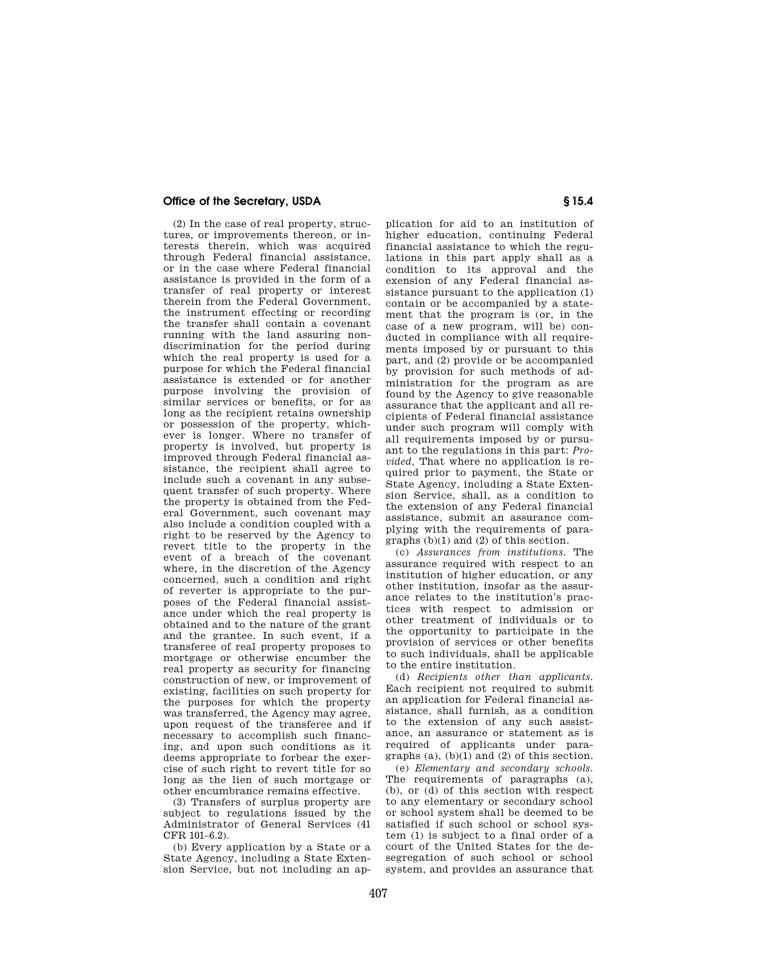# **Office of the Secretary, USDA Secretary S** 15.4

(2) In the case of real property, structures, or improvements thereon, or interests therein, which was acquired through Federal financial assistance, or in the case where Federal financial assistance is provided in the form of a transfer of real property or interest therein from the Federal Government, the instrument effecting or recording the transfer shall contain a covenant running with the land assuring nondiscrimination for the period during which the real property is used for a purpose for which the Federal financial assistance is extended or for another purpose involving the provision of similar services or benefits, or for as long as the recipient retains ownership or possession of the property, whichever is longer. Where no transfer of property is involved, but property is improved through Federal financial assistance, the recipient shall agree to include such a covenant in any subsequent transfer of such property. Where the property is obtained from the Federal Government, such covenant may also include a condition coupled with a right to be reserved by the Agency to revert title to the property in the event of a breach of the covenant where, in the discretion of the Agency concerned, such a condition and right of reverter is appropriate to the purposes of the Federal financial assistance under which the real property is obtained and to the nature of the grant and the grantee. In such event, if a transferee of real property proposes to mortgage or otherwise encumber the real property as security for financing construction of new, or improvement of existing, facilities on such property for the purposes for which the property was transferred, the Agency may agree, upon request of the transferee and if necessary to accomplish such financing, and upon such conditions as it deems appropriate to forbear the exercise of such right to revert title for so long as the lien of such mortgage or other encumbrance remains effective.

(3) Transfers of surplus property are subject to regulations issued by the Administrator of General Services (41 CFR 101–6.2).

(b) Every application by a State or a State Agency, including a State Extension Service, but not including an ap-

plication for aid to an institution of higher education, continuing Federal financial assistance to which the regulations in this part apply shall as a condition to its approval and the exension of any Federal financial assistance pursuant to the application (1) contain or be accompanied by a statement that the program is (or, in the case of a new program, will be) conducted in compliance with all requirements imposed by or pursuant to this part, and (2) provide or be accompanied by provision for such methods of administration for the program as are found by the Agency to give reasonable assurance that the applicant and all recipients of Federal financial assistance under such program will comply with all requirements imposed by or pursuant to the regulations in this part: *Provided,* That where no application is required prior to payment, the State or State Agency, including a State Extension Service, shall, as a condition to the extension of any Federal financial assistance, submit an assurance complying with the requirements of paragraphs (b)(1) and (2) of this section.

(c) *Assurances from institutions.* The assurance required with respect to an institution of higher education, or any other institution, insofar as the assurance relates to the institution's practices with respect to admission or other treatment of individuals or to the opportunity to participate in the provision of services or other benefits to such individuals, shall be applicable to the entire institution.

(d) *Recipients other than applicants.*  Each recipient not required to submit an application for Federal financial assistance, shall furnish, as a condition to the extension of any such assistance, an assurance or statement as is required of applicants under paragraphs (a), (b)(1) and (2) of this section.

(e) *Elementary and secondary schools.*  The requirements of paragraphs (a), (b), or (d) of this section with respect to any elementary or secondary school or school system shall be deemed to be satisfied if such school or school system (1) is subject to a final order of a court of the United States for the desegregation of such school or school system, and provides an assurance that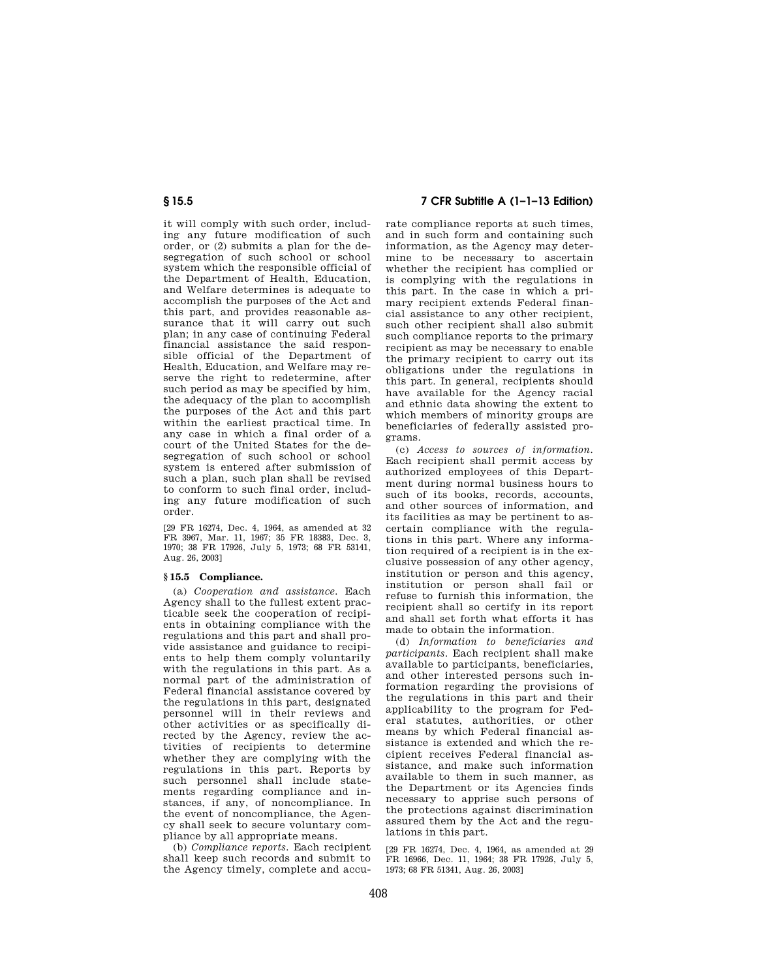it will comply with such order, including any future modification of such order, or (2) submits a plan for the desegregation of such school or school system which the responsible official of the Department of Health, Education, and Welfare determines is adequate to accomplish the purposes of the Act and this part, and provides reasonable assurance that it will carry out such plan; in any case of continuing Federal financial assistance the said responsible official of the Department of Health, Education, and Welfare may reserve the right to redetermine, after such period as may be specified by him, the adequacy of the plan to accomplish the purposes of the Act and this part within the earliest practical time. In any case in which a final order of a court of the United States for the desegregation of such school or school system is entered after submission of such a plan, such plan shall be revised to conform to such final order, including any future modification of such order.

[29 FR 16274, Dec. 4, 1964, as amended at 32 FR 3967, Mar. 11, 1967; 35 FR 18383, Dec. 3, 1970; 38 FR 17926, July 5, 1973; 68 FR 53141, Aug. 26, 2003]

# **§ 15.5 Compliance.**

(a) *Cooperation and assistance.* Each Agency shall to the fullest extent practicable seek the cooperation of recipients in obtaining compliance with the regulations and this part and shall provide assistance and guidance to recipients to help them comply voluntarily with the regulations in this part. As a normal part of the administration of Federal financial assistance covered by the regulations in this part, designated personnel will in their reviews and other activities or as specifically directed by the Agency, review the activities of recipients to determine whether they are complying with the regulations in this part. Reports by such personnel shall include statements regarding compliance and instances, if any, of noncompliance. In the event of noncompliance, the Agency shall seek to secure voluntary compliance by all appropriate means.

(b) *Compliance reports.* Each recipient shall keep such records and submit to the Agency timely, complete and accu-

**§ 15.5 7 CFR Subtitle A (1–1–13 Edition)** 

rate compliance reports at such times, and in such form and containing such information, as the Agency may determine to be necessary to ascertain whether the recipient has complied or is complying with the regulations in this part. In the case in which a primary recipient extends Federal financial assistance to any other recipient, such other recipient shall also submit such compliance reports to the primary recipient as may be necessary to enable the primary recipient to carry out its obligations under the regulations in this part. In general, recipients should have available for the Agency racial and ethnic data showing the extent to which members of minority groups are beneficiaries of federally assisted programs.

(c) *Access to sources of information.*  Each recipient shall permit access by authorized employees of this Department during normal business hours to such of its books, records, accounts, and other sources of information, and its facilities as may be pertinent to ascertain compliance with the regulations in this part. Where any information required of a recipient is in the exclusive possession of any other agency, institution or person and this agency, institution or person shall fail or refuse to furnish this information, the recipient shall so certify in its report and shall set forth what efforts it has made to obtain the information.

(d) *Information to beneficiaries and participants.* Each recipient shall make available to participants, beneficiaries, and other interested persons such information regarding the provisions of the regulations in this part and their applicability to the program for Federal statutes, authorities, or other means by which Federal financial assistance is extended and which the recipient receives Federal financial assistance, and make such information available to them in such manner, as the Department or its Agencies finds necessary to apprise such persons of the protections against discrimination assured them by the Act and the regulations in this part.

[29 FR 16274, Dec. 4, 1964, as amended at 29 FR 16966, Dec. 11, 1964; 38 FR 17926, July 5, 1973; 68 FR 51341, Aug. 26, 2003]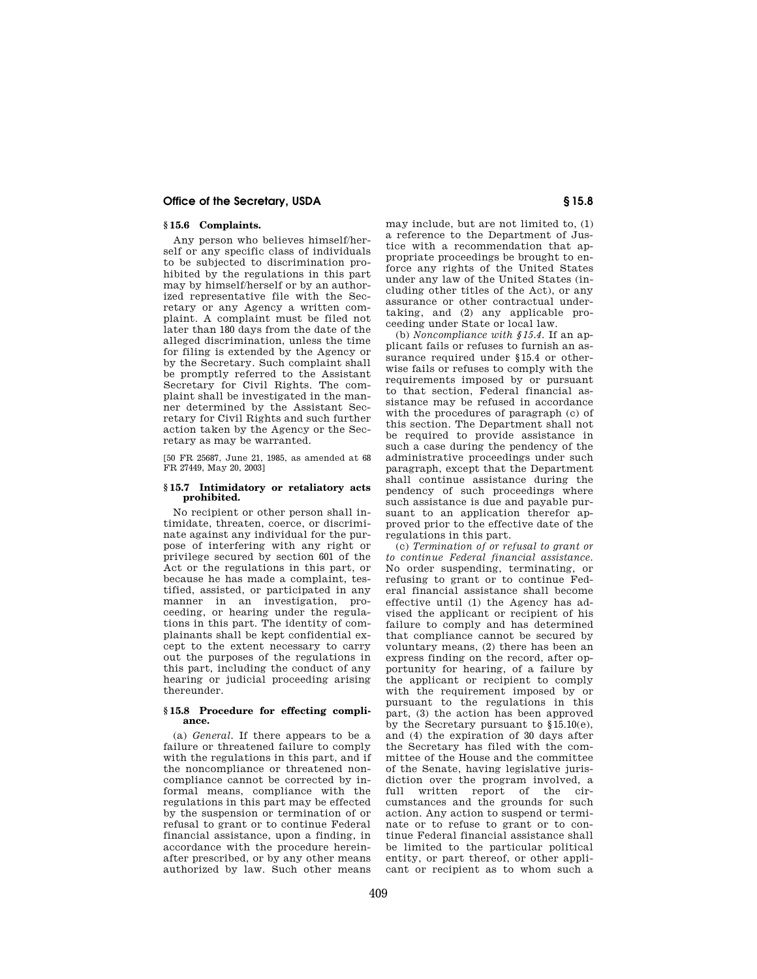### **Office of the Secretary, USDA S** 15.8

# **§ 15.6 Complaints.**

Any person who believes himself/herself or any specific class of individuals to be subjected to discrimination prohibited by the regulations in this part may by himself/herself or by an authorized representative file with the Secretary or any Agency a written complaint. A complaint must be filed not later than 180 days from the date of the alleged discrimination, unless the time for filing is extended by the Agency or by the Secretary. Such complaint shall be promptly referred to the Assistant Secretary for Civil Rights. The complaint shall be investigated in the manner determined by the Assistant Secretary for Civil Rights and such further action taken by the Agency or the Secretary as may be warranted.

[50 FR 25687, June 21, 1985, as amended at 68 FR 27449, May 20, 2003]

#### **§ 15.7 Intimidatory or retaliatory acts prohibited.**

No recipient or other person shall intimidate, threaten, coerce, or discriminate against any individual for the purpose of interfering with any right or privilege secured by section 601 of the Act or the regulations in this part, or because he has made a complaint, testified, assisted, or participated in any manner in an investigation, proceeding, or hearing under the regulations in this part. The identity of complainants shall be kept confidential except to the extent necessary to carry out the purposes of the regulations in this part, including the conduct of any hearing or judicial proceeding arising thereunder.

#### **§ 15.8 Procedure for effecting compliance.**

(a) *General.* If there appears to be a failure or threatened failure to comply with the regulations in this part, and if the noncompliance or threatened noncompliance cannot be corrected by informal means, compliance with the regulations in this part may be effected by the suspension or termination of or refusal to grant or to continue Federal financial assistance, upon a finding, in accordance with the procedure hereinafter prescribed, or by any other means authorized by law. Such other means

may include, but are not limited to, (1) a reference to the Department of Justice with a recommendation that appropriate proceedings be brought to enforce any rights of the United States under any law of the United States (including other titles of the Act), or any assurance or other contractual undertaking, and (2) any applicable proceeding under State or local law.

(b) *Noncompliance with §15.4.* If an applicant fails or refuses to furnish an assurance required under §15.4 or otherwise fails or refuses to comply with the requirements imposed by or pursuant to that section, Federal financial assistance may be refused in accordance with the procedures of paragraph (c) of this section. The Department shall not be required to provide assistance in such a case during the pendency of the administrative proceedings under such paragraph, except that the Department shall continue assistance during the pendency of such proceedings where such assistance is due and payable pursuant to an application therefor approved prior to the effective date of the regulations in this part.

(c) *Termination of or refusal to grant or to continue Federal financial assistance.*  No order suspending, terminating, or refusing to grant or to continue Federal financial assistance shall become effective until (1) the Agency has advised the applicant or recipient of his failure to comply and has determined that compliance cannot be secured by voluntary means, (2) there has been an express finding on the record, after opportunity for hearing, of a failure by the applicant or recipient to comply with the requirement imposed by or pursuant to the regulations in this part, (3) the action has been approved by the Secretary pursuant to §15.10(e), and (4) the expiration of 30 days after the Secretary has filed with the committee of the House and the committee of the Senate, having legislative jurisdiction over the program involved, a full written report of the circumstances and the grounds for such action. Any action to suspend or terminate or to refuse to grant or to continue Federal financial assistance shall be limited to the particular political entity, or part thereof, or other applicant or recipient as to whom such a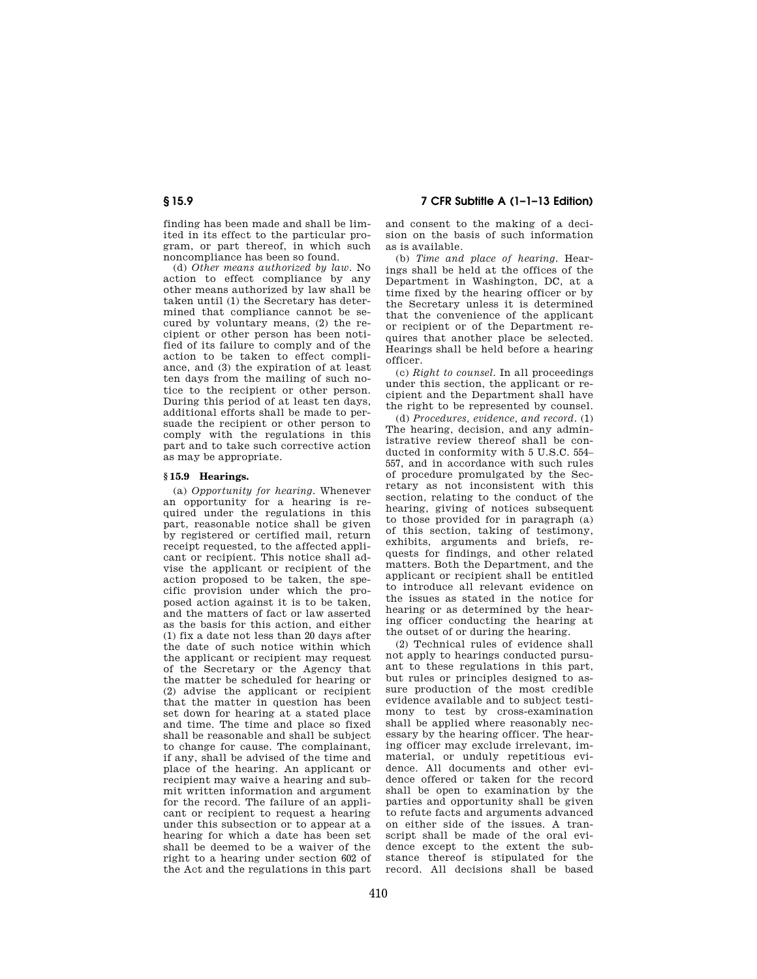finding has been made and shall be limited in its effect to the particular program, or part thereof, in which such noncompliance has been so found.

(d) *Other means authorized by law.* No action to effect compliance by any other means authorized by law shall be taken until (1) the Secretary has determined that compliance cannot be secured by voluntary means, (2) the recipient or other person has been notified of its failure to comply and of the action to be taken to effect compliance, and (3) the expiration of at least ten days from the mailing of such notice to the recipient or other person. During this period of at least ten days, additional efforts shall be made to persuade the recipient or other person to comply with the regulations in this part and to take such corrective action as may be appropriate.

### **§ 15.9 Hearings.**

(a) *Opportunity for hearing.* Whenever an opportunity for a hearing is required under the regulations in this part, reasonable notice shall be given by registered or certified mail, return receipt requested, to the affected applicant or recipient. This notice shall advise the applicant or recipient of the action proposed to be taken, the specific provision under which the proposed action against it is to be taken, and the matters of fact or law asserted as the basis for this action, and either (1) fix a date not less than 20 days after the date of such notice within which the applicant or recipient may request of the Secretary or the Agency that the matter be scheduled for hearing or (2) advise the applicant or recipient that the matter in question has been set down for hearing at a stated place and time. The time and place so fixed shall be reasonable and shall be subject to change for cause. The complainant, if any, shall be advised of the time and place of the hearing. An applicant or recipient may waive a hearing and submit written information and argument for the record. The failure of an applicant or recipient to request a hearing under this subsection or to appear at a hearing for which a date has been set shall be deemed to be a waiver of the right to a hearing under section 602 of the Act and the regulations in this part

**§ 15.9 7 CFR Subtitle A (1–1–13 Edition)** 

and consent to the making of a decision on the basis of such information as is available.

(b) *Time and place of hearing.* Hearings shall be held at the offices of the Department in Washington, DC, at a time fixed by the hearing officer or by the Secretary unless it is determined that the convenience of the applicant or recipient or of the Department requires that another place be selected. Hearings shall be held before a hearing officer.

(c) *Right to counsel.* In all proceedings under this section, the applicant or recipient and the Department shall have the right to be represented by counsel.

(d) *Procedures, evidence, and record.* (1) The hearing, decision, and any administrative review thereof shall be conducted in conformity with 5 U.S.C. 554– 557, and in accordance with such rules of procedure promulgated by the Secretary as not inconsistent with this section, relating to the conduct of the hearing, giving of notices subsequent to those provided for in paragraph (a) of this section, taking of testimony, exhibits, arguments and briefs, requests for findings, and other related matters. Both the Department, and the applicant or recipient shall be entitled to introduce all relevant evidence on the issues as stated in the notice for hearing or as determined by the hearing officer conducting the hearing at the outset of or during the hearing.

(2) Technical rules of evidence shall not apply to hearings conducted pursuant to these regulations in this part, but rules or principles designed to assure production of the most credible evidence available and to subject testimony to test by cross-examination shall be applied where reasonably necessary by the hearing officer. The hearing officer may exclude irrelevant, immaterial, or unduly repetitious evidence. All documents and other evidence offered or taken for the record shall be open to examination by the parties and opportunity shall be given to refute facts and arguments advanced on either side of the issues. A transcript shall be made of the oral evidence except to the extent the substance thereof is stipulated for the record. All decisions shall be based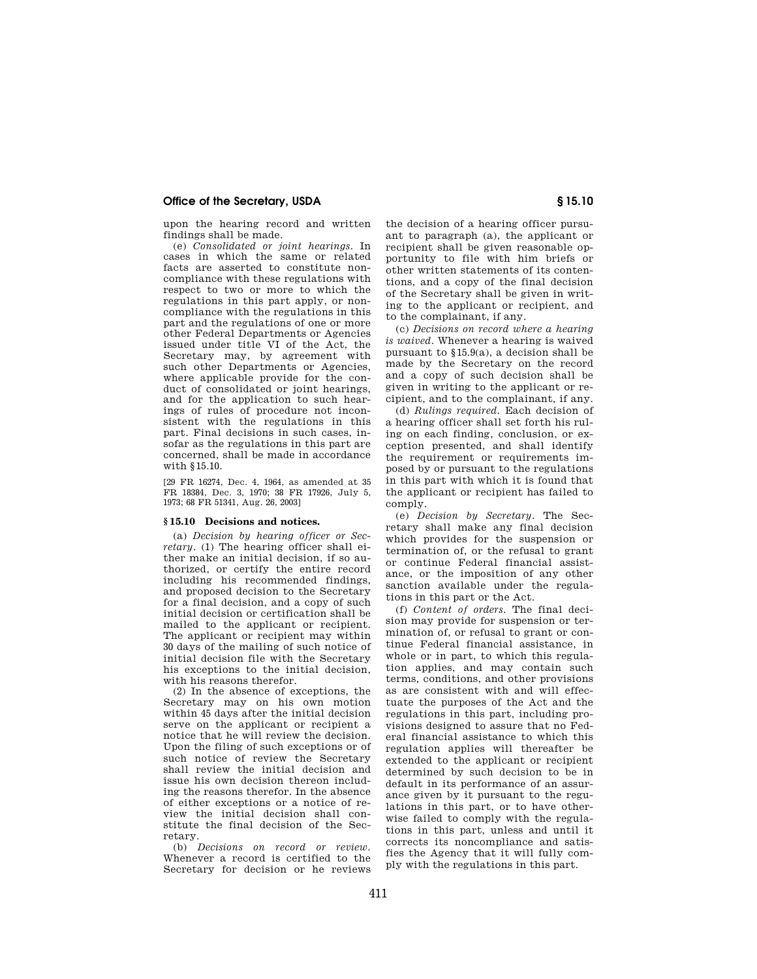### **Office of the Secretary, USDA § 15.10**

upon the hearing record and written findings shall be made.

(e) *Consolidated or joint hearings.* In cases in which the same or related facts are asserted to constitute noncompliance with these regulations with respect to two or more to which the regulations in this part apply, or noncompliance with the regulations in this part and the regulations of one or more other Federal Departments or Agencies issued under title VI of the Act, the Secretary may, by agreement with such other Departments or Agencies, where applicable provide for the conduct of consolidated or joint hearings, and for the application to such hearings of rules of procedure not inconsistent with the regulations in this part. Final decisions in such cases, insofar as the regulations in this part are concerned, shall be made in accordance with §15.10.

[29 FR 16274, Dec. 4, 1964, as amended at 35 FR 18384, Dec. 3, 1970; 38 FR 17926, July 5, 1973; 68 FR 51341, Aug. 26, 2003]

#### **§ 15.10 Decisions and notices.**

(a) *Decision by hearing officer or Secretary.* (1) The hearing officer shall either make an initial decision, if so authorized, or certify the entire record including his recommended findings, and proposed decision to the Secretary for a final decision, and a copy of such initial decision or certification shall be mailed to the applicant or recipient. The applicant or recipient may within 30 days of the mailing of such notice of initial decision file with the Secretary his exceptions to the initial decision, with his reasons therefor.

(2) In the absence of exceptions, the Secretary may on his own motion within 45 days after the initial decision serve on the applicant or recipient a notice that he will review the decision. Upon the filing of such exceptions or of such notice of review the Secretary shall review the initial decision and issue his own decision thereon including the reasons therefor. In the absence of either exceptions or a notice of review the initial decision shall constitute the final decision of the Secretary.

(b) *Decisions on record or review.*  Whenever a record is certified to the Secretary for decision or he reviews the decision of a hearing officer pursuant to paragraph (a), the applicant or recipient shall be given reasonable opportunity to file with him briefs or other written statements of its contentions, and a copy of the final decision of the Secretary shall be given in writing to the applicant or recipient, and to the complainant, if any.

(c) *Decisions on record where a hearing is waived.* Whenever a hearing is waived pursuant to §15.9(a), a decision shall be made by the Secretary on the record and a copy of such decision shall be given in writing to the applicant or recipient, and to the complainant, if any.

(d) *Rulings required.* Each decision of a hearing officer shall set forth his ruling on each finding, conclusion, or exception presented, and shall identify the requirement or requirements imposed by or pursuant to the regulations in this part with which it is found that the applicant or recipient has failed to comply.

(e) *Decision by Secretary.* The Secretary shall make any final decision which provides for the suspension or termination of, or the refusal to grant or continue Federal financial assistance, or the imposition of any other sanction available under the regulations in this part or the Act.

(f) *Content of orders.* The final decision may provide for suspension or termination of, or refusal to grant or continue Federal financial assistance, in whole or in part, to which this regulation applies, and may contain such terms, conditions, and other provisions as are consistent with and will effectuate the purposes of the Act and the regulations in this part, including provisions designed to assure that no Federal financial assistance to which this regulation applies will thereafter be extended to the applicant or recipient determined by such decision to be in default in its performance of an assurance given by it pursuant to the regulations in this part, or to have otherwise failed to comply with the regulations in this part, unless and until it corrects its noncompliance and satisfies the Agency that it will fully comply with the regulations in this part.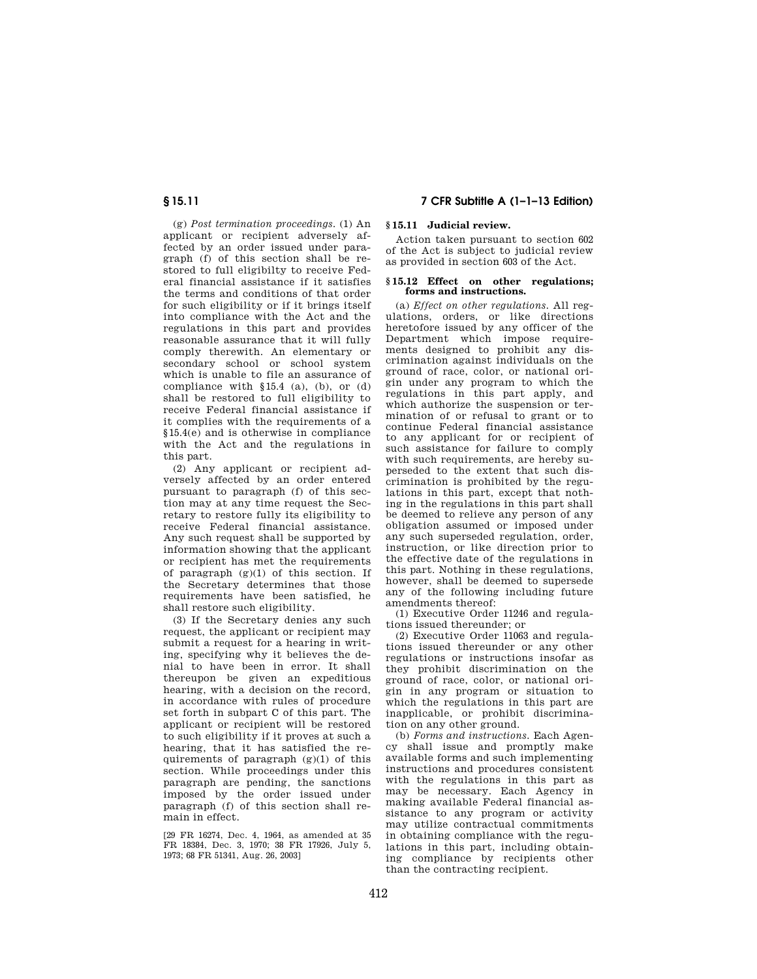(g) *Post termination proceedings.* (1) An applicant or recipient adversely affected by an order issued under paragraph (f) of this section shall be restored to full eligibilty to receive Federal financial assistance if it satisfies the terms and conditions of that order for such eligibility or if it brings itself into compliance with the Act and the regulations in this part and provides reasonable assurance that it will fully comply therewith. An elementary or secondary school or school system which is unable to file an assurance of compliance with §15.4 (a), (b), or (d) shall be restored to full eligibility to receive Federal financial assistance if it complies with the requirements of a §15.4(e) and is otherwise in compliance with the Act and the regulations in this part.

(2) Any applicant or recipient adversely affected by an order entered pursuant to paragraph (f) of this section may at any time request the Secretary to restore fully its eligibility to receive Federal financial assistance. Any such request shall be supported by information showing that the applicant or recipient has met the requirements of paragraph  $(g)(1)$  of this section. If the Secretary determines that those requirements have been satisfied, he shall restore such eligibility.

(3) If the Secretary denies any such request, the applicant or recipient may submit a request for a hearing in writing, specifying why it believes the denial to have been in error. It shall thereupon be given an expeditious hearing, with a decision on the record, in accordance with rules of procedure set forth in subpart C of this part. The applicant or recipient will be restored to such eligibility if it proves at such a hearing, that it has satisfied the requirements of paragraph (g)(1) of this section. While proceedings under this paragraph are pending, the sanctions imposed by the order issued under paragraph (f) of this section shall remain in effect.

[29 FR 16274, Dec. 4, 1964, as amended at 35 FR 18384, Dec. 3, 1970; 38 FR 17926, July 5, 1973; 68 FR 51341, Aug. 26, 2003]

# **§ 15.11 7 CFR Subtitle A (1–1–13 Edition)**

# **§ 15.11 Judicial review.**

Action taken pursuant to section 602 of the Act is subject to judicial review as provided in section 603 of the Act.

#### **§ 15.12 Effect on other regulations; forms and instructions.**

(a) *Effect on other regulations.* All regulations, orders, or like directions heretofore issued by any officer of the Department which impose requirements designed to prohibit any discrimination against individuals on the ground of race, color, or national origin under any program to which the regulations in this part apply, and which authorize the suspension or termination of or refusal to grant or to continue Federal financial assistance to any applicant for or recipient of such assistance for failure to comply with such requirements, are hereby superseded to the extent that such discrimination is prohibited by the regulations in this part, except that nothing in the regulations in this part shall be deemed to relieve any person of any obligation assumed or imposed under any such superseded regulation, order, instruction, or like direction prior to the effective date of the regulations in this part. Nothing in these regulations, however, shall be deemed to supersede any of the following including future amendments thereof:

(1) Executive Order 11246 and regulations issued thereunder; or

(2) Executive Order 11063 and regulations issued thereunder or any other regulations or instructions insofar as they prohibit discrimination on the ground of race, color, or national origin in any program or situation to which the regulations in this part are inapplicable, or prohibit discrimination on any other ground.

(b) *Forms and instructions.* Each Agency shall issue and promptly make available forms and such implementing instructions and procedures consistent with the regulations in this part as may be necessary. Each Agency in making available Federal financial assistance to any program or activity may utilize contractual commitments in obtaining compliance with the regulations in this part, including obtaining compliance by recipients other than the contracting recipient.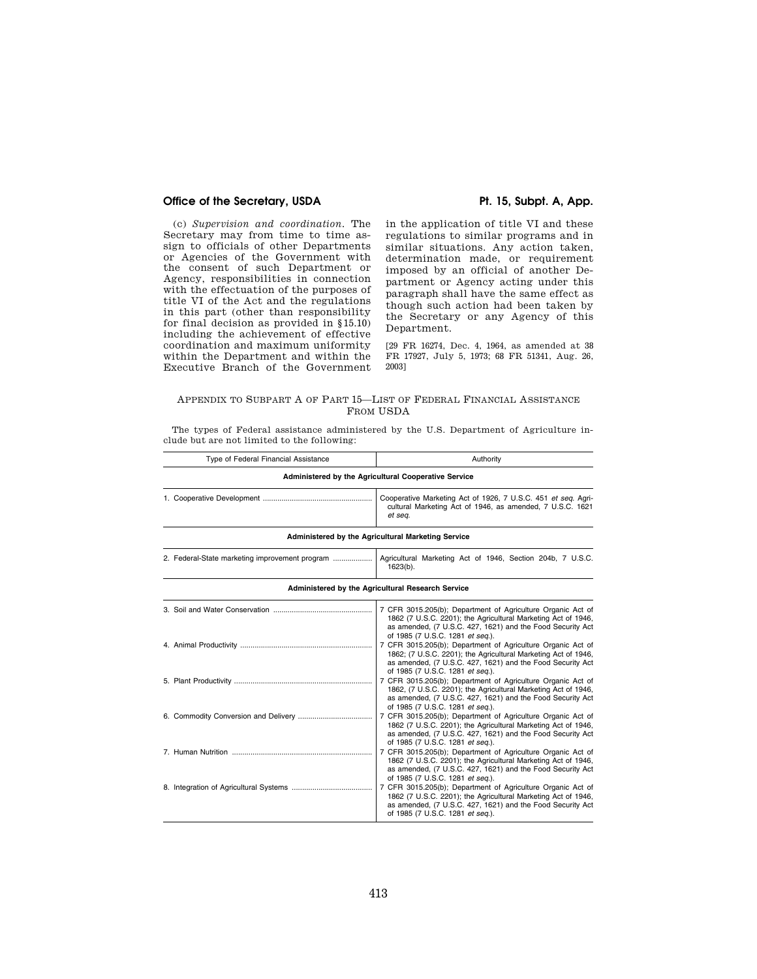# Office of the Secretary, USDA **Pt. 15, Subpt. A, App.**

(c) *Supervision and coordination.* The Secretary may from time to time assign to officials of other Departments or Agencies of the Government with the consent of such Department or Agency, responsibilities in connection with the effectuation of the purposes of title VI of the Act and the regulations in this part (other than responsibility for final decision as provided in §15.10) including the achievement of effective coordination and maximum uniformity within the Department and within the Executive Branch of the Government

in the application of title VI and these regulations to similar programs and in similar situations. Any action taken, determination made, or requirement imposed by an official of another Department or Agency acting under this paragraph shall have the same effect as though such action had been taken by the Secretary or any Agency of this Department.

[29 FR 16274, Dec. 4, 1964, as amended at 38 FR 17927, July 5, 1973; 68 FR 51341, Aug. 26, 2003]

# APPENDIX TO SUBPART A OF PART 15—LIST OF FEDERAL FINANCIAL ASSISTANCE FROM USDA

The types of Federal assistance administered by the U.S. Department of Agriculture include but are not limited to the following:

| Type of Federal Financial Assistance                 | Authority                                                                                                                                                                                                                       |  |  |  |
|------------------------------------------------------|---------------------------------------------------------------------------------------------------------------------------------------------------------------------------------------------------------------------------------|--|--|--|
| Administered by the Agricultural Cooperative Service |                                                                                                                                                                                                                                 |  |  |  |
|                                                      | Cooperative Marketing Act of 1926, 7 U.S.C. 451 et seg. Agri-<br>cultural Marketing Act of 1946, as amended, 7 U.S.C. 1621<br>et seq.                                                                                           |  |  |  |
|                                                      | Administered by the Agricultural Marketing Service                                                                                                                                                                              |  |  |  |
| 2. Federal-State marketing improvement program       | Agricultural Marketing Act of 1946, Section 204b, 7 U.S.C.<br>$1623(b)$ .                                                                                                                                                       |  |  |  |
|                                                      | Administered by the Agricultural Research Service                                                                                                                                                                               |  |  |  |
|                                                      | 7 CFR 3015.205(b); Department of Agriculture Organic Act of<br>1862 (7 U.S.C. 2201); the Agricultural Marketing Act of 1946,<br>as amended, (7 U.S.C. 427, 1621) and the Food Security Act<br>of 1985 (7 U.S.C. 1281 et seq.).  |  |  |  |
|                                                      | 7 CFR 3015.205(b); Department of Agriculture Organic Act of<br>1862; (7 U.S.C. 2201); the Agricultural Marketing Act of 1946,<br>as amended, (7 U.S.C. 427, 1621) and the Food Security Act<br>of 1985 (7 U.S.C. 1281 et seq.). |  |  |  |
|                                                      | 7 CFR 3015.205(b); Department of Agriculture Organic Act of<br>1862, (7 U.S.C. 2201); the Agricultural Marketing Act of 1946,<br>as amended, (7 U.S.C. 427, 1621) and the Food Security Act<br>of 1985 (7 U.S.C. 1281 et seq.). |  |  |  |
|                                                      | 7 CFR 3015.205(b); Department of Agriculture Organic Act of<br>1862 (7 U.S.C. 2201); the Agricultural Marketing Act of 1946,<br>as amended, (7 U.S.C. 427, 1621) and the Food Security Act<br>of 1985 (7 U.S.C. 1281 et seq.).  |  |  |  |
|                                                      | 7 CFR 3015.205(b); Department of Agriculture Organic Act of<br>1862 (7 U.S.C. 2201); the Agricultural Marketing Act of 1946,<br>as amended, (7 U.S.C. 427, 1621) and the Food Security Act<br>of 1985 (7 U.S.C. 1281 et seq.).  |  |  |  |
|                                                      | 7 CFR 3015.205(b); Department of Agriculture Organic Act of<br>1862 (7 U.S.C. 2201); the Agricultural Marketing Act of 1946,<br>as amended, (7 U.S.C. 427, 1621) and the Food Security Act<br>of 1985 (7 U.S.C. 1281 et seq.).  |  |  |  |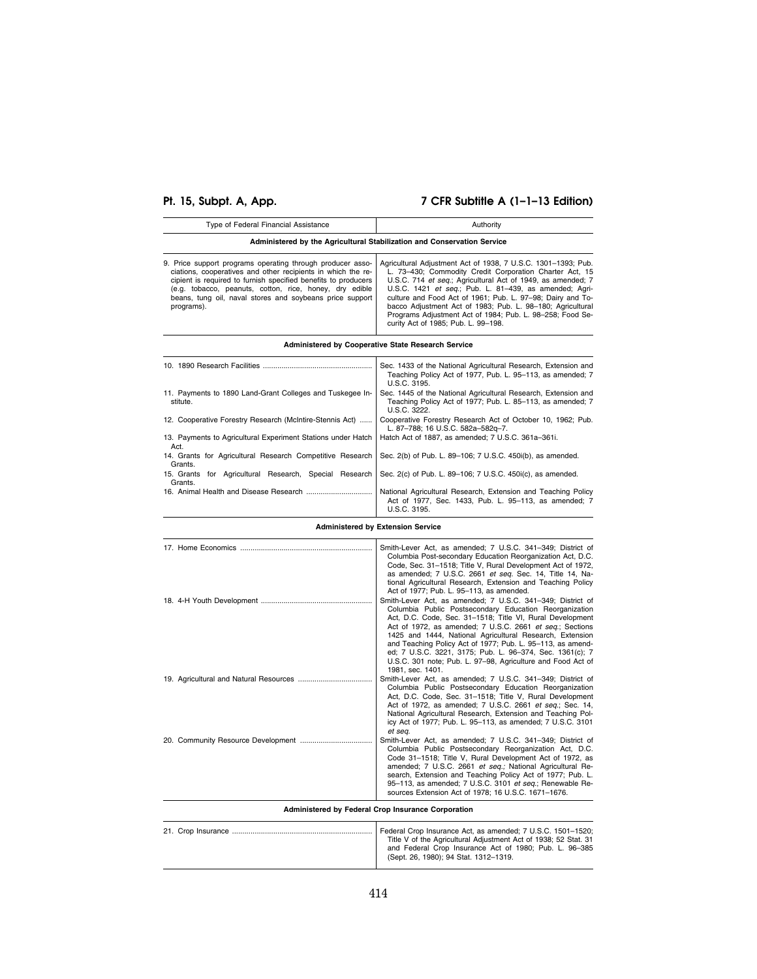# **Pt. 15, Subpt. A, App. 7 CFR Subtitle A (1–1–13 Edition)**

| Type of Federal Financial Assistance                                                                                                                                                                                                                                                                                              | Authority                                                                                                                                                                                                                                                                                                                                                                                                                                                                         |  |  |  |
|-----------------------------------------------------------------------------------------------------------------------------------------------------------------------------------------------------------------------------------------------------------------------------------------------------------------------------------|-----------------------------------------------------------------------------------------------------------------------------------------------------------------------------------------------------------------------------------------------------------------------------------------------------------------------------------------------------------------------------------------------------------------------------------------------------------------------------------|--|--|--|
| Administered by the Agricultural Stabilization and Conservation Service                                                                                                                                                                                                                                                           |                                                                                                                                                                                                                                                                                                                                                                                                                                                                                   |  |  |  |
| 9. Price support programs operating through producer asso-<br>ciations, cooperatives and other recipients in which the re-<br>cipient is required to furnish specified benefits to producers<br>(e.g. tobacco, peanuts, cotton, rice, honey, dry edible<br>beans, tung oil, naval stores and soybeans price support<br>programs). | Agricultural Adjustment Act of 1938, 7 U.S.C. 1301-1393; Pub.<br>L. 73-430; Commodity Credit Corporation Charter Act, 15<br>U.S.C. 714 et seq.; Agricultural Act of 1949, as amended; 7<br>U.S.C. 1421 et seq.; Pub. L. 81-439, as amended; Agri-<br>culture and Food Act of 1961; Pub. L. 97-98; Dairy and To-<br>bacco Adjustment Act of 1983; Pub. L. 98-180; Agricultural<br>Programs Adjustment Act of 1984; Pub. L. 98-258; Food Se-<br>curity Act of 1985; Pub. L. 99-198. |  |  |  |

# **Administered by Cooperative State Research Service**

| 10. 1890 Research Facilities                                          | Sec. 1433 of the National Agricultural Research, Extension and<br>Teaching Policy Act of 1977, Pub. L. 95-113, as amended; 7<br>U.S.C. 3195. |
|-----------------------------------------------------------------------|----------------------------------------------------------------------------------------------------------------------------------------------|
| 11. Payments to 1890 Land-Grant Colleges and Tuskegee In-<br>stitute. | Sec. 1445 of the National Agricultural Research, Extension and<br>Teaching Policy Act of 1977; Pub. L. 85-113, as amended; 7<br>U.S.C. 3222. |
| 12. Cooperative Forestry Research (McIntire-Stennis Act)              | Cooperative Forestry Research Act of October 10, 1962; Pub.<br>L. 87-788; 16 U.S.C. 582a-582q-7.                                             |
| 13. Payments to Agricultural Experiment Stations under Hatch<br>Act.  | Hatch Act of 1887, as amended: 7 U.S.C. 361a-361i.                                                                                           |
| 14. Grants for Agricultural Research Competitive Research<br>Grants.  | Sec. 2(b) of Pub. L. 89–106: 7 U.S.C. 450i(b), as amended.                                                                                   |
| for Agricultural Research, Special Research<br>15. Grants<br>Grants.  | Sec. 2(c) of Pub. L. 89-106; 7 U.S.C. 450i(c), as amended.                                                                                   |
|                                                                       | National Agricultural Research, Extension and Teaching Policy<br>Act of 1977, Sec. 1433, Pub. L. 95-113, as amended; 7<br>U.S.C. 3195.       |

**Administered by Extension Service** 

|                                                    | Smith-Lever Act, as amended; 7 U.S.C. 341-349; District of<br>Columbia Post-secondary Education Reorganization Act, D.C.<br>Code, Sec. 31-1518; Title V, Rural Development Act of 1972,<br>as amended; 7 U.S.C. 2661 et seq. Sec. 14, Title 14, Na-<br>tional Agricultural Research, Extension and Teaching Policy<br>Act of 1977; Pub. L. 95-113, as amended.<br>Smith-Lever Act, as amended; 7 U.S.C. 341-349; District of<br>Columbia Public Postsecondary Education Reorganization<br>Act, D.C. Code, Sec. 31-1518; Title VI, Rural Development<br>Act of 1972, as amended; 7 U.S.C. 2661 et seq.; Sections<br>1425 and 1444, National Agricultural Research, Extension<br>and Teaching Policy Act of 1977; Pub. L. 95-113, as amend-<br>ed; 7 U.S.C. 3221, 3175; Pub. L. 96-374, Sec. 1361(c); 7<br>U.S.C. 301 note; Pub. L. 97-98, Agriculture and Food Act of |  |  |
|----------------------------------------------------|----------------------------------------------------------------------------------------------------------------------------------------------------------------------------------------------------------------------------------------------------------------------------------------------------------------------------------------------------------------------------------------------------------------------------------------------------------------------------------------------------------------------------------------------------------------------------------------------------------------------------------------------------------------------------------------------------------------------------------------------------------------------------------------------------------------------------------------------------------------------|--|--|
|                                                    | 1981, sec. 1401.<br>Smith-Lever Act, as amended; 7 U.S.C. 341-349; District of<br>Columbia Public Postsecondary Education Reorganization<br>Act, D.C. Code, Sec. 31-1518; Title V, Rural Development<br>Act of 1972, as amended; 7 U.S.C. 2661 et seq.; Sec. 14,<br>National Agricultural Research, Extension and Teaching Pol-<br>icy Act of 1977; Pub. L. 95-113, as amended; 7 U.S.C. 3101<br>et sea.                                                                                                                                                                                                                                                                                                                                                                                                                                                             |  |  |
|                                                    | Smith-Lever Act, as amended; 7 U.S.C. 341-349; District of<br>Columbia Public Postsecondary Reorganization Act, D.C.<br>Code 31-1518; Title V, Rural Development Act of 1972, as<br>amended; 7 U.S.C. 2661 et seq.; National Agricultural Re-<br>search, Extension and Teaching Policy Act of 1977; Pub. L.<br>95-113, as amended; 7 U.S.C. 3101 et seq.; Renewable Re-<br>sources Extension Act of 1978; 16 U.S.C. 1671-1676.                                                                                                                                                                                                                                                                                                                                                                                                                                       |  |  |
| Administered by Federal Crop Insurance Corporation |                                                                                                                                                                                                                                                                                                                                                                                                                                                                                                                                                                                                                                                                                                                                                                                                                                                                      |  |  |

| Federal Crop Insurance Act. as amended: 7 U.S.C. 1501-1520:<br>Title V of the Agricultural Adjustment Act of 1938; 52 Stat. 31<br>and Federal Crop Insurance Act of 1980; Pub. L. 96-385 |
|------------------------------------------------------------------------------------------------------------------------------------------------------------------------------------------|
| (Sept. 26, 1980); 94 Stat. 1312-1319.                                                                                                                                                    |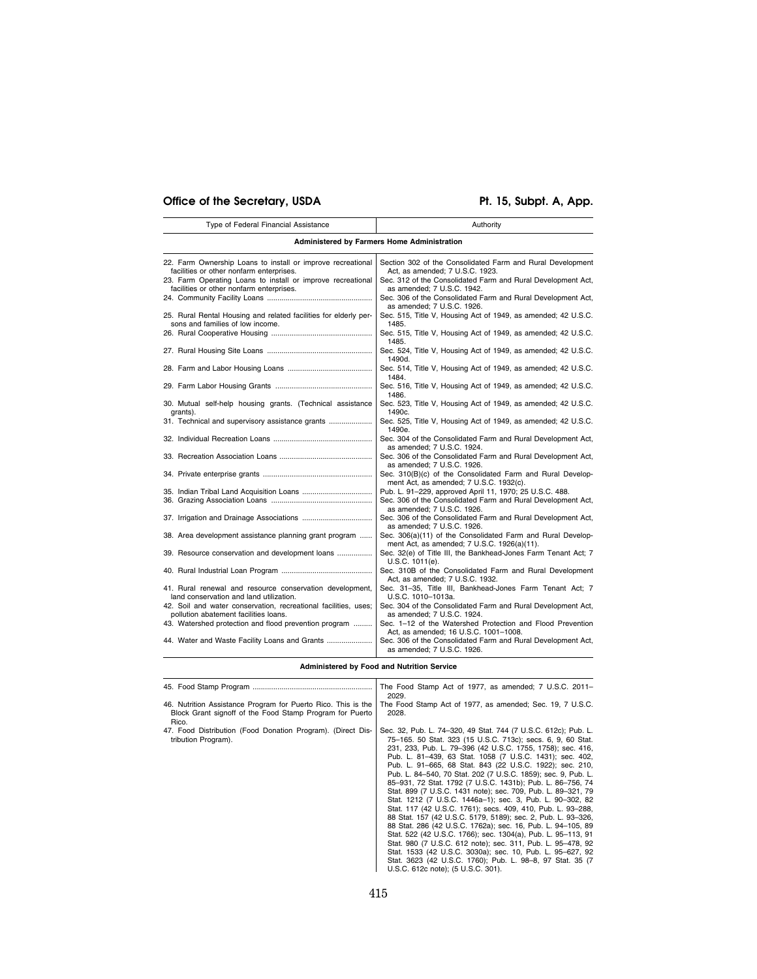# Office of the Secretary, USDA Pt. 15, Subpt. A, App.

| Type of Federal Financial Assistance                                                                    | Authority                                                                                                                         |  |  |  |  |
|---------------------------------------------------------------------------------------------------------|-----------------------------------------------------------------------------------------------------------------------------------|--|--|--|--|
| Administered by Farmers Home Administration                                                             |                                                                                                                                   |  |  |  |  |
| 22. Farm Ownership Loans to install or improve recreational<br>facilities or other nonfarm enterprises. | Section 302 of the Consolidated Farm and Rural Development<br>Act, as amended; 7 U.S.C. 1923.                                     |  |  |  |  |
| 23. Farm Operating Loans to install or improve recreational<br>facilities or other nonfarm enterprises. | Sec. 312 of the Consolidated Farm and Rural Development Act,<br>as amended; 7 U.S.C. 1942.                                        |  |  |  |  |
|                                                                                                         | Sec. 306 of the Consolidated Farm and Rural Development Act,<br>as amended; 7 U.S.C. 1926.                                        |  |  |  |  |
| 25. Rural Rental Housing and related facilities for elderly per-<br>sons and families of low income.    | Sec. 515, Title V, Housing Act of 1949, as amended; 42 U.S.C.<br>1485.                                                            |  |  |  |  |
|                                                                                                         | Sec. 515, Title V, Housing Act of 1949, as amended; 42 U.S.C.<br>1485.                                                            |  |  |  |  |
|                                                                                                         | Sec. 524, Title V, Housing Act of 1949, as amended; 42 U.S.C.<br>1490d.                                                           |  |  |  |  |
|                                                                                                         | Sec. 514, Title V, Housing Act of 1949, as amended; 42 U.S.C.<br>1484.                                                            |  |  |  |  |
|                                                                                                         | Sec. 516, Title V, Housing Act of 1949, as amended; 42 U.S.C.<br>1486.                                                            |  |  |  |  |
| 30. Mutual self-help housing grants. (Technical assistance<br>grants).                                  | Sec. 523, Title V, Housing Act of 1949, as amended; 42 U.S.C.<br>1490c.                                                           |  |  |  |  |
| 31. Technical and supervisory assistance grants                                                         | Sec. 525, Title V, Housing Act of 1949, as amended; 42 U.S.C.<br>1490e.                                                           |  |  |  |  |
|                                                                                                         | Sec. 304 of the Consolidated Farm and Rural Development Act,<br>as amended: 7 U.S.C. 1924.                                        |  |  |  |  |
|                                                                                                         | Sec. 306 of the Consolidated Farm and Rural Development Act,<br>as amended; 7 U.S.C. 1926.                                        |  |  |  |  |
|                                                                                                         | Sec. 310(B)(c) of the Consolidated Farm and Rural Develop-<br>ment Act, as amended; 7 U.S.C. 1932(c).                             |  |  |  |  |
|                                                                                                         | Pub. L. 91-229, approved April 11, 1970; 25 U.S.C. 488.<br>Sec. 306 of the Consolidated Farm and Rural Development Act,           |  |  |  |  |
|                                                                                                         | as amended; 7 U.S.C. 1926.                                                                                                        |  |  |  |  |
|                                                                                                         | Sec. 306 of the Consolidated Farm and Rural Development Act,<br>as amended; 7 U.S.C. 1926.                                        |  |  |  |  |
| 38. Area development assistance planning grant program                                                  | Sec. 306(a)(11) of the Consolidated Farm and Rural Develop-<br>ment Act, as amended; 7 U.S.C. 1926(a)(11).                        |  |  |  |  |
| 39. Resource conservation and development loans                                                         | Sec. 32(e) of Title III, the Bankhead-Jones Farm Tenant Act; 7<br>$U.S.C. 1011(e)$ .                                              |  |  |  |  |
|                                                                                                         | Sec. 310B of the Consolidated Farm and Rural Development<br>Act, as amended; 7 U.S.C. 1932.                                       |  |  |  |  |
| 41. Rural renewal and resource conservation development,<br>land conservation and land utilization.     | Sec. 31-35, Title III, Bankhead-Jones Farm Tenant Act; 7<br>U.S.C. 1010-1013a.                                                    |  |  |  |  |
| 42. Soil and water conservation, recreational facilities, uses;                                         | Sec. 304 of the Consolidated Farm and Rural Development Act,                                                                      |  |  |  |  |
| pollution abatement facilities loans.<br>43. Watershed protection and flood prevention program          | as amended; 7 U.S.C. 1924.<br>Sec. 1-12 of the Watershed Protection and Flood Prevention<br>Act, as amended; 16 U.S.C. 1001-1008. |  |  |  |  |
| 44. Water and Waste Facility Loans and Grants                                                           | Sec. 306 of the Consolidated Farm and Rural Development Act,<br>as amended; 7 U.S.C. 1926.                                        |  |  |  |  |

# **Administered by Food and Nutrition Service**

|                                                                                                                                    | The Food Stamp Act of 1977, as amended; 7 U.S.C. 2011-<br>2029.                                                                                                                                                                                                                                                                                                                                                                                                                                                                                                                                                                                                                                                                                                                                                                                                                                                                                                                                                                                                              |
|------------------------------------------------------------------------------------------------------------------------------------|------------------------------------------------------------------------------------------------------------------------------------------------------------------------------------------------------------------------------------------------------------------------------------------------------------------------------------------------------------------------------------------------------------------------------------------------------------------------------------------------------------------------------------------------------------------------------------------------------------------------------------------------------------------------------------------------------------------------------------------------------------------------------------------------------------------------------------------------------------------------------------------------------------------------------------------------------------------------------------------------------------------------------------------------------------------------------|
| 46. Nutrition Assistance Program for Puerto Rico. This is the<br>Block Grant signoff of the Food Stamp Program for Puerto<br>Rico. | The Food Stamp Act of 1977, as amended; Sec. 19, 7 U.S.C.<br>2028.                                                                                                                                                                                                                                                                                                                                                                                                                                                                                                                                                                                                                                                                                                                                                                                                                                                                                                                                                                                                           |
| 47. Food Distribution (Food Donation Program). (Direct Dis-<br>tribution Program).                                                 | Sec. 32, Pub. L. 74-320, 49 Stat. 744 (7 U.S.C. 612c); Pub. L.<br>75-165. 50 Stat. 323 (15 U.S.C. 713c); secs. 6, 9, 60 Stat.<br>231, 233, Pub. L. 79-396 (42 U.S.C. 1755, 1758); sec. 416,<br>Pub. L. 81-439, 63 Stat. 1058 (7 U.S.C. 1431); sec. 402,<br>Pub. L. 91-665, 68 Stat. 843 (22 U.S.C. 1922); sec. 210,<br>Pub. L. 84-540, 70 Stat. 202 (7 U.S.C. 1859); sec. 9, Pub. L.<br>85-931, 72 Stat. 1792 (7 U.S.C. 1431b); Pub. L. 86-756, 74<br>Stat. 899 (7 U.S.C. 1431 note); sec. 709, Pub. L. 89-321, 79<br>Stat. 1212 (7 U.S.C. 1446a-1); sec. 3, Pub. L. 90-302, 82<br>Stat. 117 (42 U.S.C. 1761); secs. 409, 410, Pub. L. 93-288,<br>88 Stat. 157 (42 U.S.C. 5179, 5189); sec. 2, Pub. L. 93-326,<br>88 Stat. 286 (42 U.S.C. 1762a); sec. 16, Pub. L. 94-105, 89<br>Stat. 522 (42 U.S.C. 1766); sec. 1304(a), Pub. L. 95-113, 91<br>Stat. 980 (7 U.S.C. 612 note); sec. 311, Pub. L. 95-478, 92<br>Stat. 1533 (42 U.S.C. 3030a); sec. 10, Pub. L. 95-627, 92<br>Stat. 3623 (42 U.S.C. 1760); Pub. L. 98-8, 97 Stat. 35 (7<br>U.S.C. 612c note); (5 U.S.C. 301). |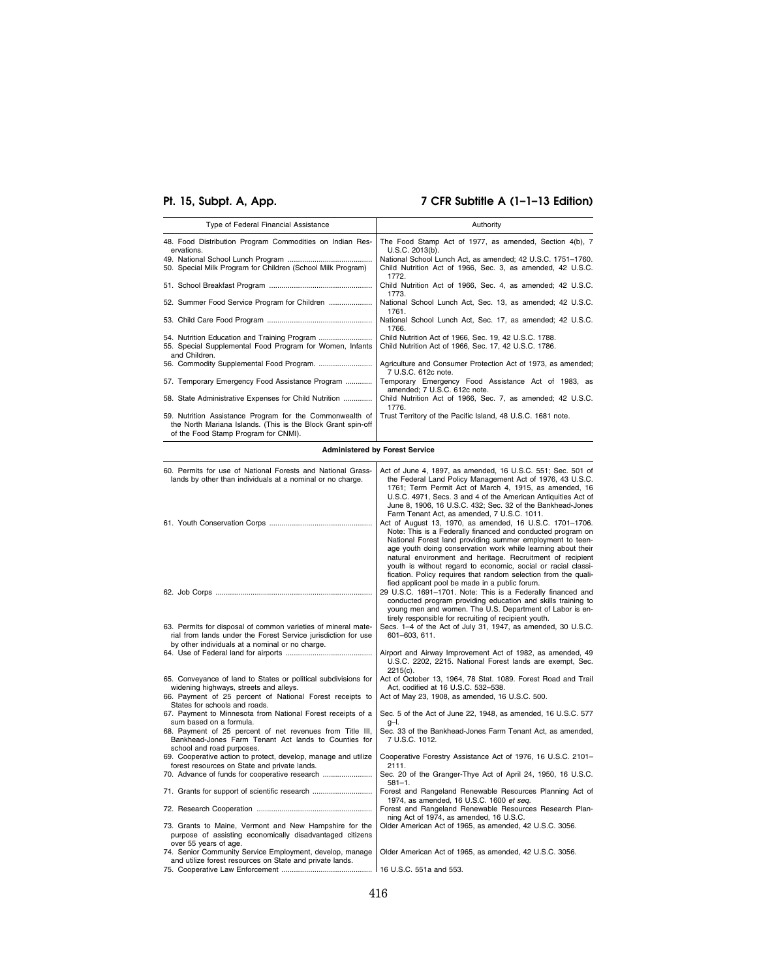# **Pt. 15, Subpt. A, App. 7 CFR Subtitle A (1–1–13 Edition)**

| Type of Federal Financial Assistance                                                                                                                             | Authority                                                                           |
|------------------------------------------------------------------------------------------------------------------------------------------------------------------|-------------------------------------------------------------------------------------|
| 48. Food Distribution Program Commodities on Indian Res-<br>ervations.                                                                                           | The Food Stamp Act of 1977, as amended, Section 4(b), 7<br>U.S.C. 2013(b).          |
|                                                                                                                                                                  | National School Lunch Act, as amended; 42 U.S.C. 1751-1760.                         |
| 50. Special Milk Program for Children (School Milk Program)                                                                                                      | Child Nutrition Act of 1966, Sec. 3, as amended, 42 U.S.C.<br>1772.                 |
|                                                                                                                                                                  | Child Nutrition Act of 1966, Sec. 4, as amended; 42 U.S.C.<br>1773.                 |
| 52. Summer Food Service Program for Children                                                                                                                     | National School Lunch Act, Sec. 13, as amended; 42 U.S.C.<br>1761.                  |
|                                                                                                                                                                  | National School Lunch Act, Sec. 17, as amended; 42 U.S.C.<br>1766.                  |
|                                                                                                                                                                  | Child Nutrition Act of 1966, Sec. 19, 42 U.S.C. 1788.                               |
| 55. Special Supplemental Food Program for Women, Infants<br>and Children.                                                                                        | Child Nutrition Act of 1966, Sec. 17, 42 U.S.C. 1786.                               |
|                                                                                                                                                                  | Agriculture and Consumer Protection Act of 1973, as amended;<br>7 U.S.C. 612c note. |
| 57. Temporary Emergency Food Assistance Program                                                                                                                  | Temporary Emergency Food Assistance Act of 1983, as<br>amended; 7 U.S.C. 612c note. |
| 58. State Administrative Expenses for Child Nutrition                                                                                                            | Child Nutrition Act of 1966, Sec. 7, as amended; 42 U.S.C.<br>1776.                 |
| 59. Nutrition Assistance Program for the Commonwealth of<br>the North Mariana Islands. (This is the Block Grant spin-off<br>of the Food Stamp Program for CNMI). | Trust Territory of the Pacific Island, 48 U.S.C. 1681 note.                         |

# **Administered by Forest Service**

| 60. Permits for use of National Forests and National Grass-<br>lands by other than individuals at a nominal or no charge.                                                                             | Act of June 4, 1897, as amended, 16 U.S.C. 551; Sec. 501 of<br>the Federal Land Policy Management Act of 1976, 43 U.S.C.<br>1761; Term Permit Act of March 4, 1915, as amended, 16<br>U.S.C. 4971, Secs. 3 and 4 of the American Antiquities Act of<br>June 8, 1906, 16 U.S.C. 432; Sec. 32 of the Bankhead-Jones<br>Farm Tenant Act, as amended, 7 U.S.C. 1011.                                                                                                                                         |
|-------------------------------------------------------------------------------------------------------------------------------------------------------------------------------------------------------|----------------------------------------------------------------------------------------------------------------------------------------------------------------------------------------------------------------------------------------------------------------------------------------------------------------------------------------------------------------------------------------------------------------------------------------------------------------------------------------------------------|
|                                                                                                                                                                                                       | Act of August 13, 1970, as amended, 16 U.S.C. 1701-1706.<br>Note: This is a Federally financed and conducted program on<br>National Forest land providing summer employment to teen-<br>age youth doing conservation work while learning about their<br>natural environment and heritage. Recruitment of recipient<br>youth is without regard to economic, social or racial classi-<br>fication. Policy requires that random selection from the quali-<br>fied applicant pool be made in a public forum. |
|                                                                                                                                                                                                       | 29 U.S.C. 1691-1701. Note: This is a Federally financed and<br>conducted program providing education and skills training to<br>young men and women. The U.S. Department of Labor is en-<br>tirely responsible for recruiting of recipient youth.                                                                                                                                                                                                                                                         |
| 63. Permits for disposal of common varieties of mineral mate-<br>rial from lands under the Forest Service jurisdiction for use<br>by other individuals at a nominal or no charge.                     | Secs. 1-4 of the Act of July 31, 1947, as amended, 30 U.S.C.<br>601-603, 611.                                                                                                                                                                                                                                                                                                                                                                                                                            |
|                                                                                                                                                                                                       | Airport and Airway Improvement Act of 1982, as amended, 49<br>U.S.C. 2202, 2215. National Forest lands are exempt, Sec.<br>$2215(c)$ .                                                                                                                                                                                                                                                                                                                                                                   |
| 65. Conveyance of land to States or political subdivisions for<br>widening highways, streets and alleys.<br>66. Payment of 25 percent of National Forest receipts to<br>States for schools and roads. | Act of October 13, 1964, 78 Stat. 1089. Forest Road and Trail<br>Act, codified at 16 U.S.C. 532-538.<br>Act of May 23, 1908, as amended, 16 U.S.C. 500.                                                                                                                                                                                                                                                                                                                                                  |
| 67. Payment to Minnesota from National Forest receipts of a<br>sum based on a formula.                                                                                                                | Sec. 5 of the Act of June 22, 1948, as amended, 16 U.S.C. 577<br>$q-1$ .                                                                                                                                                                                                                                                                                                                                                                                                                                 |
| 68. Payment of 25 percent of net revenues from Title III,<br>Bankhead-Jones Farm Tenant Act lands to Counties for<br>school and road purposes.                                                        | Sec. 33 of the Bankhead-Jones Farm Tenant Act, as amended,<br>7 U.S.C. 1012.                                                                                                                                                                                                                                                                                                                                                                                                                             |
| 69. Cooperative action to protect, develop, manage and utilize<br>forest resources on State and private lands.                                                                                        | Cooperative Forestry Assistance Act of 1976, 16 U.S.C. 2101-<br>2111.                                                                                                                                                                                                                                                                                                                                                                                                                                    |
| 70. Advance of funds for cooperative research                                                                                                                                                         | Sec. 20 of the Granger-Thye Act of April 24, 1950, 16 U.S.C.<br>$581 - 1.$                                                                                                                                                                                                                                                                                                                                                                                                                               |
| 71. Grants for support of scientific research                                                                                                                                                         | Forest and Rangeland Renewable Resources Planning Act of<br>1974, as amended, 16 U.S.C. 1600 et seq.                                                                                                                                                                                                                                                                                                                                                                                                     |
|                                                                                                                                                                                                       | Forest and Rangeland Renewable Resources Research Plan-<br>ning Act of 1974, as amended, 16 U.S.C.                                                                                                                                                                                                                                                                                                                                                                                                       |
| 73. Grants to Maine, Vermont and New Hampshire for the<br>purpose of assisting economically disadvantaged citizens<br>over 55 years of age.                                                           | Older American Act of 1965, as amended, 42 U.S.C. 3056.                                                                                                                                                                                                                                                                                                                                                                                                                                                  |
| 74. Senior Community Service Employment, develop, manage<br>and utilize forest resources on State and private lands.                                                                                  | Older American Act of 1965, as amended, 42 U.S.C. 3056.                                                                                                                                                                                                                                                                                                                                                                                                                                                  |
|                                                                                                                                                                                                       |                                                                                                                                                                                                                                                                                                                                                                                                                                                                                                          |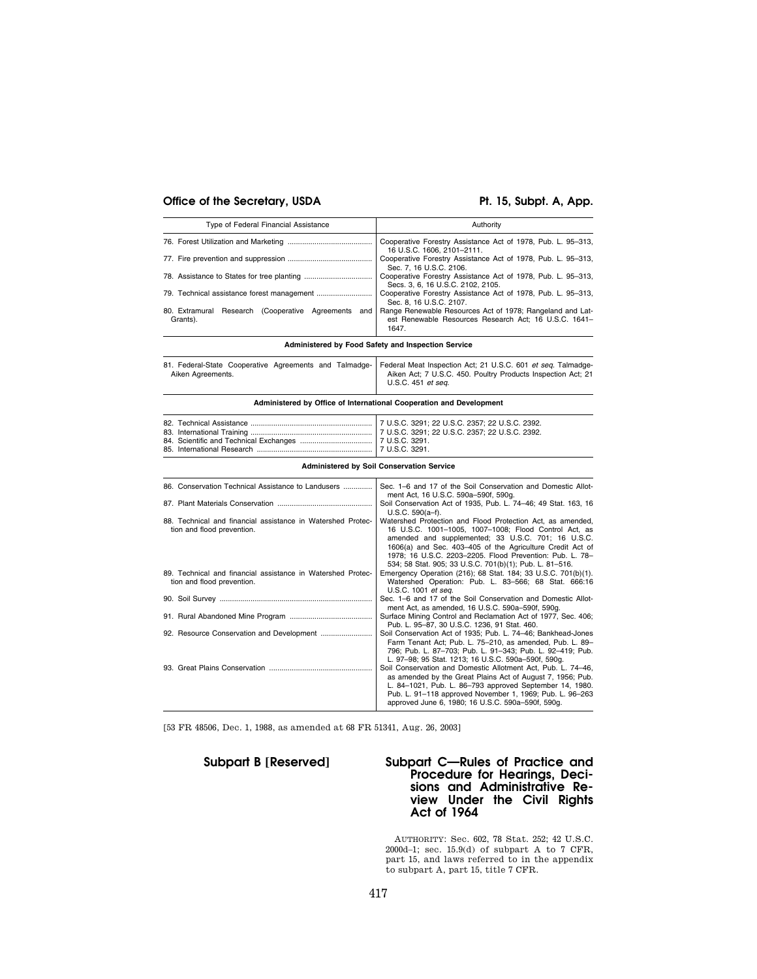# Office of the Secretary, USDA Pt. 15, Subpt. A, App.

| Type of Federal Financial Assistance                            | Authority                                                                                                                   |
|-----------------------------------------------------------------|-----------------------------------------------------------------------------------------------------------------------------|
|                                                                 | Cooperative Forestry Assistance Act of 1978, Pub. L. 95-313,<br>16 U.S.C. 1606, 2101-2111.                                  |
|                                                                 | Cooperative Forestry Assistance Act of 1978, Pub. L. 95-313,<br>Sec. 7, 16 U.S.C. 2106.                                     |
|                                                                 | Cooperative Forestry Assistance Act of 1978, Pub. L. 95-313,<br>Secs. 3, 6, 16 U.S.C. 2102, 2105.                           |
|                                                                 | Cooperative Forestry Assistance Act of 1978, Pub. L. 95-313,<br>Sec. 8, 16 U.S.C. 2107.                                     |
| 80. Extramural Research (Cooperative Agreements and<br>Grants). | Range Renewable Resources Act of 1978; Rangeland and Lat-<br>est Renewable Resources Research Act; 16 U.S.C. 1641-<br>1647. |

**Administered by Food Safety and Inspection Service** 

|                   |  |  | 81. Federal-State Cooperative Agreements and Talmadge- Federal Meat Inspection Act; 21 U.S.C. 601 et seg. Talmadge- |
|-------------------|--|--|---------------------------------------------------------------------------------------------------------------------|
| Aiken Agreements. |  |  | Aiken Act; 7 U.S.C. 450. Poultry Products Inspection Act; 21                                                        |
|                   |  |  | U.S.C. 451 <i>et sea.</i>                                                                                           |

### **Administered by Office of International Cooperation and Development**

#### **Administered by Soil Conservation Service**

| 86. Conservation Technical Assistance to Landusers                                        | Sec. 1–6 and 17 of the Soil Conservation and Domestic Allot-<br>ment Act, 16 U.S.C. 590a-590f, 590g.                                                                                                                                                                                                                                                          |
|-------------------------------------------------------------------------------------------|---------------------------------------------------------------------------------------------------------------------------------------------------------------------------------------------------------------------------------------------------------------------------------------------------------------------------------------------------------------|
|                                                                                           | Soil Conservation Act of 1935, Pub. L. 74-46; 49 Stat. 163, 16<br>$U.S.C. 590(a-f).$                                                                                                                                                                                                                                                                          |
| 88. Technical and financial assistance in Watershed Protec-<br>tion and flood prevention. | Watershed Protection and Flood Protection Act, as amended,<br>16 U.S.C. 1001-1005, 1007-1008; Flood Control Act, as<br>amended and supplemented; 33 U.S.C. 701; 16 U.S.C.<br>1606(a) and Sec. 403-405 of the Agriculture Credit Act of<br>1978: 16 U.S.C. 2203-2205. Flood Prevention: Pub. L. 78-<br>534; 58 Stat. 905; 33 U.S.C. 701(b)(1); Pub. L. 81-516. |
| 89. Technical and financial assistance in Watershed Protec-<br>tion and flood prevention. | Emergency Operation (216); 68 Stat. 184; 33 U.S.C. 701(b)(1).<br>Watershed Operation: Pub. L. 83-566; 68 Stat. 666:16<br>U.S.C. 1001 et seq.                                                                                                                                                                                                                  |
|                                                                                           | Sec. 1–6 and 17 of the Soil Conservation and Domestic Allot-<br>ment Act, as amended, 16 U.S.C. 590a-590f, 590g.                                                                                                                                                                                                                                              |
|                                                                                           | Surface Mining Control and Reclamation Act of 1977, Sec. 406;<br>Pub. L. 95-87, 30 U.S.C. 1236, 91 Stat. 460.                                                                                                                                                                                                                                                 |
|                                                                                           | Soil Conservation Act of 1935; Pub. L. 74-46; Bankhead-Jones<br>Farm Tenant Act; Pub. L. 75-210, as amended, Pub. L. 89-<br>796; Pub. L. 87-703; Pub. L. 91-343; Pub. L. 92-419; Pub.<br>L. 97-98; 95 Stat. 1213; 16 U.S.C. 590a-590f, 590g.                                                                                                                  |
|                                                                                           | Soil Conservation and Domestic Allotment Act, Pub. L. 74-46,<br>as amended by the Great Plains Act of August 7, 1956; Pub.<br>L. 84-1021, Pub. L. 86-793 approved September 14, 1980.<br>Pub. L. 91-118 approved November 1, 1969; Pub. L. 96-263<br>approved June 6, 1980; 16 U.S.C. 590a-590f, 590g.                                                        |

[53 FR 48506, Dec. 1, 1988, as amended at 68 FR 51341, Aug. 26, 2003]

# **Subpart B [Reserved] Subpart C—Rules of Practice and Procedure for Hearings, Decisions and Administrative Review Under the Civil Rights Act of 1964**

AUTHORITY: Sec. 602, 78 Stat. 252; 42 U.S.C. 2000d–1; sec. 15.9(d) of subpart A to 7 CFR, part 15, and laws referred to in the appendix to subpart A, part 15, title 7 CFR.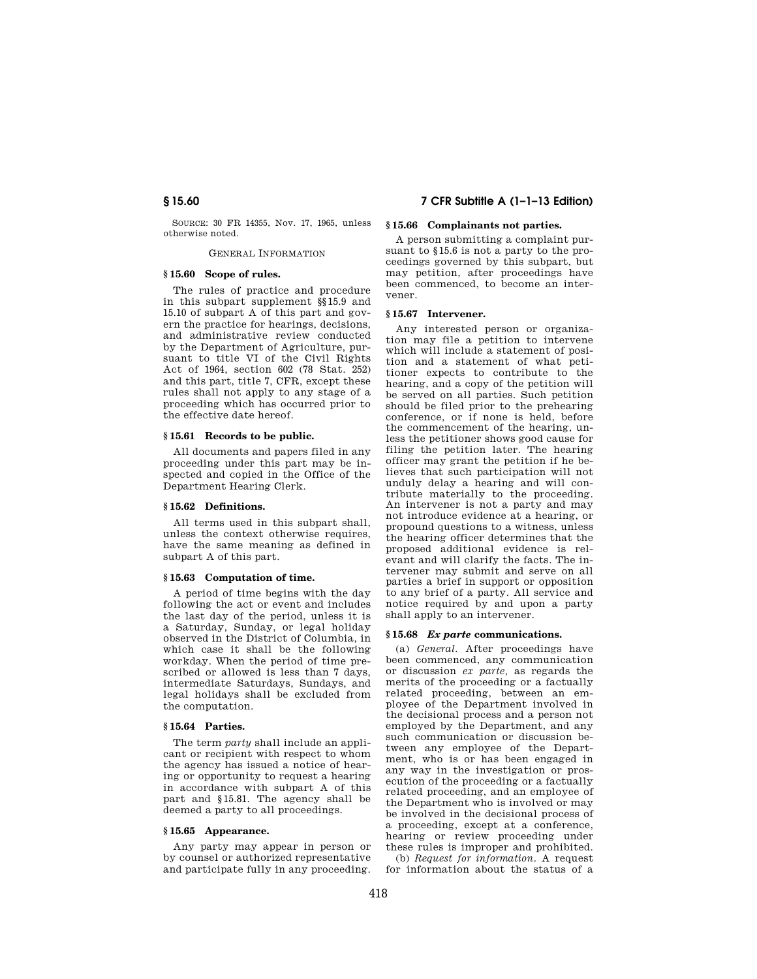SOURCE: 30 FR 14355, Nov. 17, 1965, unless otherwise noted.

GENERAL INFORMATION

#### **§ 15.60 Scope of rules.**

The rules of practice and procedure in this subpart supplement §§15.9 and 15.10 of subpart A of this part and govern the practice for hearings, decisions, and administrative review conducted by the Department of Agriculture, pursuant to title VI of the Civil Rights Act of 1964, section 602 (78 Stat. 252) and this part, title 7, CFR, except these rules shall not apply to any stage of a proceeding which has occurred prior to the effective date hereof.

#### **§ 15.61 Records to be public.**

All documents and papers filed in any proceeding under this part may be inspected and copied in the Office of the Department Hearing Clerk.

#### **§ 15.62 Definitions.**

All terms used in this subpart shall, unless the context otherwise requires, have the same meaning as defined in subpart A of this part.

#### **§ 15.63 Computation of time.**

A period of time begins with the day following the act or event and includes the last day of the period, unless it is a Saturday, Sunday, or legal holiday observed in the District of Columbia, in which case it shall be the following workday. When the period of time prescribed or allowed is less than 7 days, intermediate Saturdays, Sundays, and legal holidays shall be excluded from the computation.

### **§ 15.64 Parties.**

The term *party* shall include an applicant or recipient with respect to whom the agency has issued a notice of hearing or opportunity to request a hearing in accordance with subpart A of this part and §15.81. The agency shall be deemed a party to all proceedings.

#### **§ 15.65 Appearance.**

Any party may appear in person or by counsel or authorized representative and participate fully in any proceeding.

# **§ 15.60 7 CFR Subtitle A (1–1–13 Edition)**

# **§ 15.66 Complainants not parties.**

A person submitting a complaint pursuant to §15.6 is not a party to the proceedings governed by this subpart, but may petition, after proceedings have been commenced, to become an intervener.

#### **§ 15.67 Intervener.**

Any interested person or organization may file a petition to intervene which will include a statement of position and a statement of what petitioner expects to contribute to the hearing, and a copy of the petition will be served on all parties. Such petition should be filed prior to the prehearing conference, or if none is held, before the commencement of the hearing, unless the petitioner shows good cause for filing the petition later. The hearing officer may grant the petition if he believes that such participation will not unduly delay a hearing and will contribute materially to the proceeding. An intervener is not a party and may not introduce evidence at a hearing, or propound questions to a witness, unless the hearing officer determines that the proposed additional evidence is relevant and will clarify the facts. The intervener may submit and serve on all parties a brief in support or opposition to any brief of a party. All service and notice required by and upon a party shall apply to an intervener.

#### **§ 15.68** *Ex parte* **communications.**

(a) *General.* After proceedings have been commenced, any communication or discussion *ex parte,* as regards the merits of the proceeding or a factually related proceeding, between an employee of the Department involved in the decisional process and a person not employed by the Department, and any such communication or discussion between any employee of the Department, who is or has been engaged in any way in the investigation or prosecution of the proceeding or a factually related proceeding, and an employee of the Department who is involved or may be involved in the decisional process of a proceeding, except at a conference, hearing or review proceeding under these rules is improper and prohibited. (b) *Request for information.* A request

for information about the status of a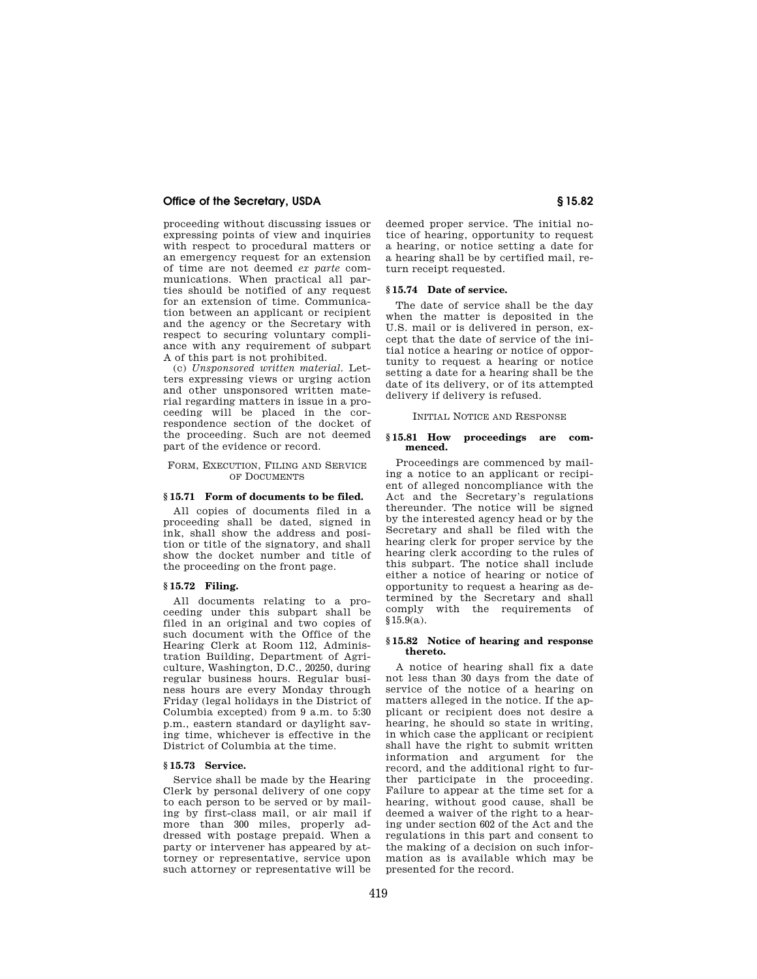# **Office of the Secretary, USDA § 15.82**

proceeding without discussing issues or expressing points of view and inquiries with respect to procedural matters or an emergency request for an extension of time are not deemed *ex parte* communications. When practical all parties should be notified of any request for an extension of time. Communication between an applicant or recipient and the agency or the Secretary with respect to securing voluntary compliance with any requirement of subpart A of this part is not prohibited.

(c) *Unsponsored written material.* Letters expressing views or urging action and other unsponsored written material regarding matters in issue in a proceeding will be placed in the correspondence section of the docket of the proceeding. Such are not deemed part of the evidence or record.

#### FORM, EXECUTION, FILING AND SERVICE OF DOCUMENTS

#### **§ 15.71 Form of documents to be filed.**

All copies of documents filed in a proceeding shall be dated, signed in ink, shall show the address and position or title of the signatory, and shall show the docket number and title of the proceeding on the front page.

#### **§ 15.72 Filing.**

All documents relating to a proceeding under this subpart shall be filed in an original and two copies of such document with the Office of the Hearing Clerk at Room 112, Administration Building, Department of Agriculture, Washington, D.C., 20250, during regular business hours. Regular business hours are every Monday through Friday (legal holidays in the District of Columbia excepted) from 9 a.m. to 5:30 p.m., eastern standard or daylight saving time, whichever is effective in the District of Columbia at the time.

#### **§ 15.73 Service.**

Service shall be made by the Hearing Clerk by personal delivery of one copy to each person to be served or by mailing by first-class mail, or air mail if more than 300 miles, properly addressed with postage prepaid. When a party or intervener has appeared by attorney or representative, service upon such attorney or representative will be

deemed proper service. The initial notice of hearing, opportunity to request a hearing, or notice setting a date for a hearing shall be by certified mail, return receipt requested.

#### **§ 15.74 Date of service.**

The date of service shall be the day when the matter is deposited in the U.S. mail or is delivered in person, except that the date of service of the initial notice a hearing or notice of opportunity to request a hearing or notice setting a date for a hearing shall be the date of its delivery, or of its attempted delivery if delivery is refused.

#### INITIAL NOTICE AND RESPONSE

#### **§ 15.81 How proceedings are commenced.**

Proceedings are commenced by mailing a notice to an applicant or recipient of alleged noncompliance with the Act and the Secretary's regulations thereunder. The notice will be signed by the interested agency head or by the Secretary and shall be filed with the hearing clerk for proper service by the hearing clerk according to the rules of this subpart. The notice shall include either a notice of hearing or notice of opportunity to request a hearing as determined by the Secretary and shall comply with the requirements of §15.9(a).

#### **§ 15.82 Notice of hearing and response thereto.**

A notice of hearing shall fix a date not less than 30 days from the date of service of the notice of a hearing on matters alleged in the notice. If the applicant or recipient does not desire a hearing, he should so state in writing, in which case the applicant or recipient shall have the right to submit written information and argument for the record, and the additional right to further participate in the proceeding. Failure to appear at the time set for a hearing, without good cause, shall be deemed a waiver of the right to a hearing under section 602 of the Act and the regulations in this part and consent to the making of a decision on such information as is available which may be presented for the record.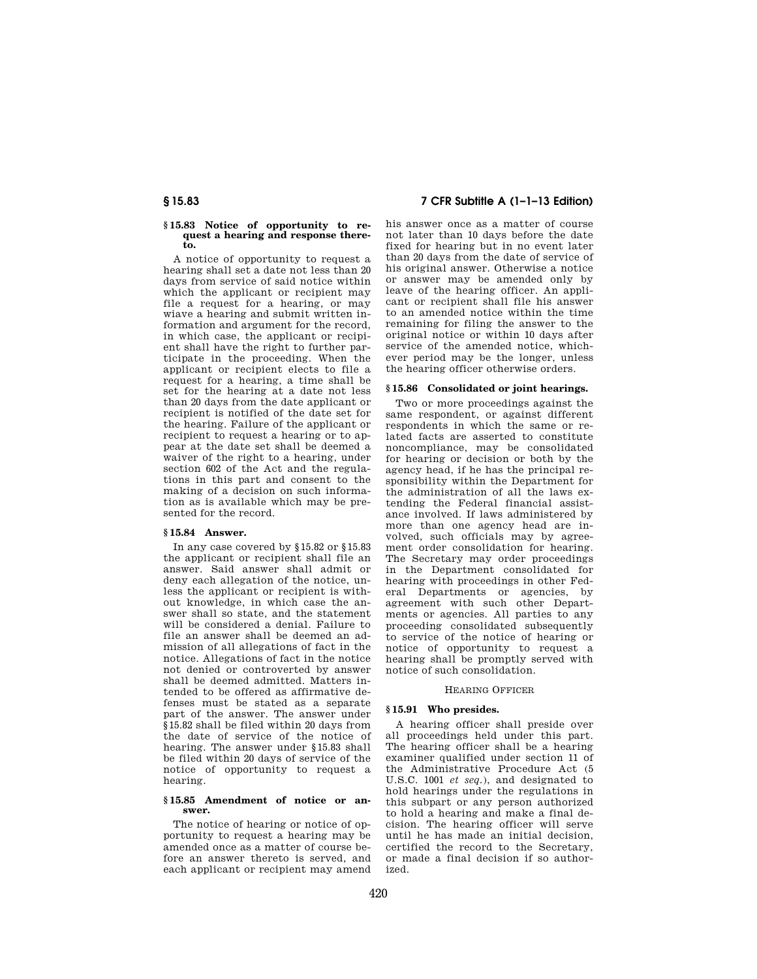#### **§ 15.83 Notice of opportunity to request a hearing and response thereto.**

A notice of opportunity to request a hearing shall set a date not less than 20 days from service of said notice within which the applicant or recipient may file a request for a hearing, or may wiave a hearing and submit written information and argument for the record, in which case, the applicant or recipient shall have the right to further participate in the proceeding. When the applicant or recipient elects to file a request for a hearing, a time shall be set for the hearing at a date not less than 20 days from the date applicant or recipient is notified of the date set for the hearing. Failure of the applicant or recipient to request a hearing or to appear at the date set shall be deemed a waiver of the right to a hearing, under section 602 of the Act and the regulations in this part and consent to the making of a decision on such information as is available which may be presented for the record.

# **§ 15.84 Answer.**

In any case covered by §15.82 or §15.83 the applicant or recipient shall file an answer. Said answer shall admit or deny each allegation of the notice, unless the applicant or recipient is without knowledge, in which case the answer shall so state, and the statement will be considered a denial. Failure to file an answer shall be deemed an admission of all allegations of fact in the notice. Allegations of fact in the notice not denied or controverted by answer shall be deemed admitted. Matters intended to be offered as affirmative defenses must be stated as a separate part of the answer. The answer under §15.82 shall be filed within 20 days from the date of service of the notice of hearing. The answer under §15.83 shall be filed within 20 days of service of the notice of opportunity to request a hearing.

#### **§ 15.85 Amendment of notice or answer.**

The notice of hearing or notice of opportunity to request a hearing may be amended once as a matter of course before an answer thereto is served, and each applicant or recipient may amend

**§ 15.83 7 CFR Subtitle A (1–1–13 Edition)** 

his answer once as a matter of course not later than 10 days before the date fixed for hearing but in no event later than 20 days from the date of service of his original answer. Otherwise a notice or answer may be amended only by leave of the hearing officer. An applicant or recipient shall file his answer to an amended notice within the time remaining for filing the answer to the original notice or within 10 days after service of the amended notice, whichever period may be the longer, unless the hearing officer otherwise orders.

#### **§ 15.86 Consolidated or joint hearings.**

Two or more proceedings against the same respondent, or against different respondents in which the same or related facts are asserted to constitute noncompliance, may be consolidated for hearing or decision or both by the agency head, if he has the principal responsibility within the Department for the administration of all the laws extending the Federal financial assistance involved. If laws administered by more than one agency head are involved, such officials may by agreement order consolidation for hearing. The Secretary may order proceedings in the Department consolidated for hearing with proceedings in other Federal Departments or agencies, by agreement with such other Departments or agencies. All parties to any proceeding consolidated subsequently to service of the notice of hearing or notice of opportunity to request a hearing shall be promptly served with notice of such consolidation.

#### HEARING OFFICER

# **§ 15.91 Who presides.**

A hearing officer shall preside over all proceedings held under this part. The hearing officer shall be a hearing examiner qualified under section 11 of the Administrative Procedure Act (5 U.S.C. 1001 *et seq.*), and designated to hold hearings under the regulations in this subpart or any person authorized to hold a hearing and make a final decision. The hearing officer will serve until he has made an initial decision, certified the record to the Secretary, or made a final decision if so authorized.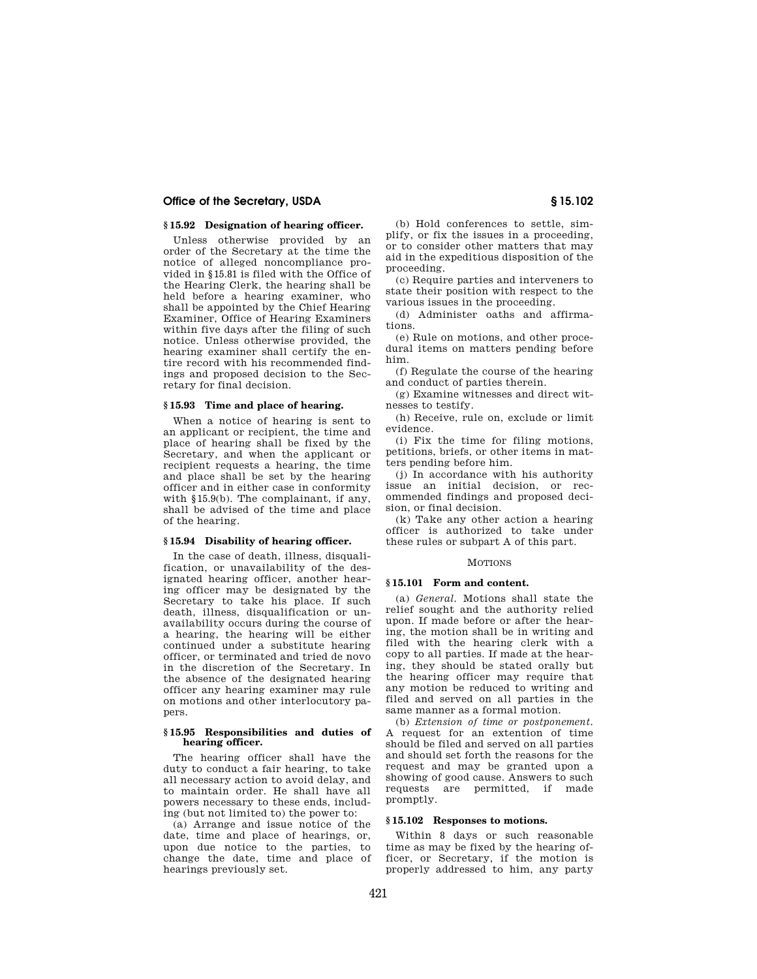# **Office of the Secretary, USDA § 15.102**

## **§ 15.92 Designation of hearing officer.**

Unless otherwise provided by an order of the Secretary at the time the notice of alleged noncompliance provided in §15.81 is filed with the Office of the Hearing Clerk, the hearing shall be held before a hearing examiner, who shall be appointed by the Chief Hearing Examiner, Office of Hearing Examiners within five days after the filing of such notice. Unless otherwise provided, the hearing examiner shall certify the entire record with his recommended findings and proposed decision to the Secretary for final decision.

# **§ 15.93 Time and place of hearing.**

When a notice of hearing is sent to an applicant or recipient, the time and place of hearing shall be fixed by the Secretary, and when the applicant or recipient requests a hearing, the time and place shall be set by the hearing officer and in either case in conformity with §15.9(b). The complainant, if any, shall be advised of the time and place of the hearing.

#### **§ 15.94 Disability of hearing officer.**

In the case of death, illness, disqualification, or unavailability of the designated hearing officer, another hearing officer may be designated by the Secretary to take his place. If such death, illness, disqualification or unavailability occurs during the course of a hearing, the hearing will be either continued under a substitute hearing officer, or terminated and tried de novo in the discretion of the Secretary. In the absence of the designated hearing officer any hearing examiner may rule on motions and other interlocutory papers.

## **§ 15.95 Responsibilities and duties of hearing officer.**

The hearing officer shall have the duty to conduct a fair hearing, to take all necessary action to avoid delay, and to maintain order. He shall have all powers necessary to these ends, including (but not limited to) the power to:

(a) Arrange and issue notice of the date, time and place of hearings, or, upon due notice to the parties, to change the date, time and place of hearings previously set.

(b) Hold conferences to settle, simplify, or fix the issues in a proceeding, or to consider other matters that may aid in the expeditious disposition of the proceeding.

(c) Require parties and interveners to state their position with respect to the various issues in the proceeding.

(d) Administer oaths and affirmations.

(e) Rule on motions, and other procedural items on matters pending before him.

(f) Regulate the course of the hearing and conduct of parties therein.

(g) Examine witnesses and direct witnesses to testify.

(h) Receive, rule on, exclude or limit evidence.

(i) Fix the time for filing motions, petitions, briefs, or other items in matters pending before him.

(j) In accordance with his authority issue an initial decision, or recommended findings and proposed decision, or final decision.

(k) Take any other action a hearing officer is authorized to take under these rules or subpart A of this part.

#### **MOTIONS**

#### **§ 15.101 Form and content.**

(a) *General.* Motions shall state the relief sought and the authority relied upon. If made before or after the hearing, the motion shall be in writing and filed with the hearing clerk with a copy to all parties. If made at the hearing, they should be stated orally but the hearing officer may require that any motion be reduced to writing and filed and served on all parties in the same manner as a formal motion.

(b) *Extension of time or postponement.*  A request for an extention of time should be filed and served on all parties and should set forth the reasons for the request and may be granted upon a showing of good cause. Answers to such requests are permitted, if made promptly.

### **§ 15.102 Responses to motions.**

Within 8 days or such reasonable time as may be fixed by the hearing officer, or Secretary, if the motion is properly addressed to him, any party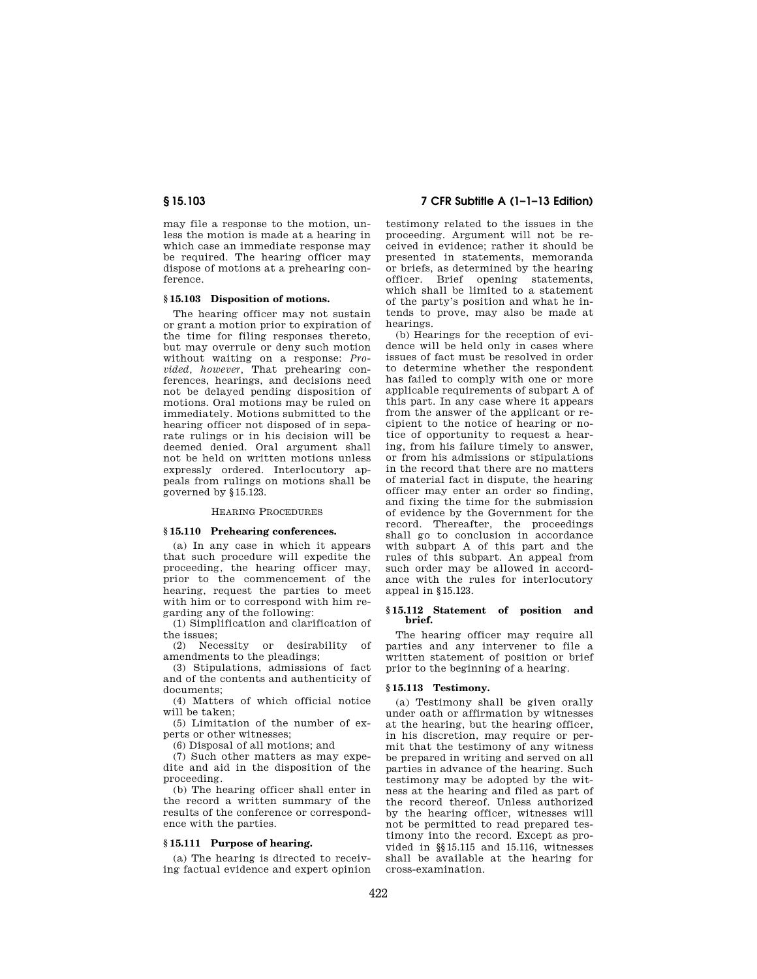may file a response to the motion, unless the motion is made at a hearing in which case an immediate response may be required. The hearing officer may dispose of motions at a prehearing conference.

## **§ 15.103 Disposition of motions.**

The hearing officer may not sustain or grant a motion prior to expiration of the time for filing responses thereto, but may overrule or deny such motion without waiting on a response: *Provided, however,* That prehearing conferences, hearings, and decisions need not be delayed pending disposition of motions. Oral motions may be ruled on immediately. Motions submitted to the hearing officer not disposed of in separate rulings or in his decision will be deemed denied. Oral argument shall not be held on written motions unless expressly ordered. Interlocutory appeals from rulings on motions shall be governed by §15.123.

#### HEARING PROCEDURES

### **§ 15.110 Prehearing conferences.**

(a) In any case in which it appears that such procedure will expedite the proceeding, the hearing officer may, prior to the commencement of the hearing, request the parties to meet with him or to correspond with him regarding any of the following:

(1) Simplification and clarification of the issues;

(2) Necessity or desirability of amendments to the pleadings;

(3) Stipulations, admissions of fact and of the contents and authenticity of documents;

(4) Matters of which official notice will be taken;

(5) Limitation of the number of experts or other witnesses;

(6) Disposal of all motions; and

(7) Such other matters as may expedite and aid in the disposition of the proceeding.

(b) The hearing officer shall enter in the record a written summary of the results of the conference or correspondence with the parties.

### **§ 15.111 Purpose of hearing.**

(a) The hearing is directed to receiving factual evidence and expert opinion

# **§ 15.103 7 CFR Subtitle A (1–1–13 Edition)**

testimony related to the issues in the proceeding. Argument will not be received in evidence; rather it should be presented in statements, memoranda or briefs, as determined by the hearing officer. Brief opening statements, which shall be limited to a statement of the party's position and what he intends to prove, may also be made at hearings.

(b) Hearings for the reception of evidence will be held only in cases where issues of fact must be resolved in order to determine whether the respondent has failed to comply with one or more applicable requirements of subpart A of this part. In any case where it appears from the answer of the applicant or recipient to the notice of hearing or notice of opportunity to request a hearing, from his failure timely to answer, or from his admissions or stipulations in the record that there are no matters of material fact in dispute, the hearing officer may enter an order so finding, and fixing the time for the submission of evidence by the Government for the record. Thereafter, the proceedings shall go to conclusion in accordance with subpart A of this part and the rules of this subpart. An appeal from such order may be allowed in accordance with the rules for interlocutory appeal in §15.123.

#### **§ 15.112 Statement of position and brief.**

The hearing officer may require all parties and any intervener to file a written statement of position or brief prior to the beginning of a hearing.

### **§ 15.113 Testimony.**

(a) Testimony shall be given orally under oath or affirmation by witnesses at the hearing, but the hearing officer, in his discretion, may require or permit that the testimony of any witness be prepared in writing and served on all parties in advance of the hearing. Such testimony may be adopted by the witness at the hearing and filed as part of the record thereof. Unless authorized by the hearing officer, witnesses will not be permitted to read prepared testimony into the record. Except as provided in §§15.115 and 15.116, witnesses shall be available at the hearing for cross-examination.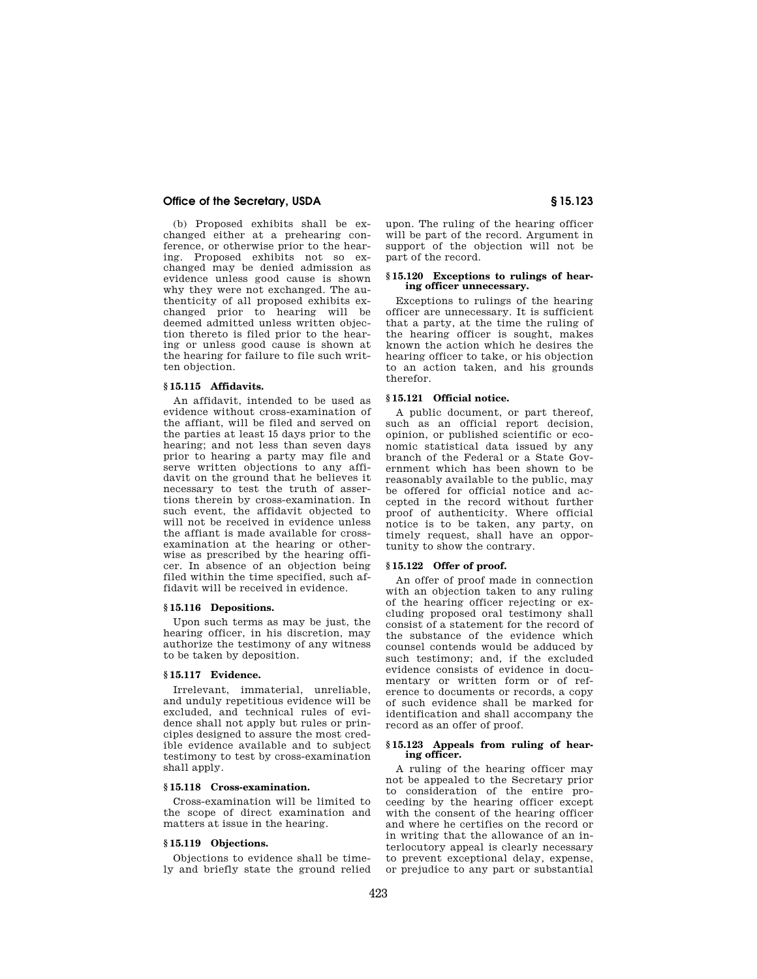# **Office of the Secretary, USDA § 15.123**

(b) Proposed exhibits shall be exchanged either at a prehearing conference, or otherwise prior to the hearing. Proposed exhibits not so exchanged may be denied admission as evidence unless good cause is shown why they were not exchanged. The authenticity of all proposed exhibits exchanged prior to hearing will be deemed admitted unless written objection thereto is filed prior to the hearing or unless good cause is shown at the hearing for failure to file such written objection.

# **§ 15.115 Affidavits.**

An affidavit, intended to be used as evidence without cross-examination of the affiant, will be filed and served on the parties at least 15 days prior to the hearing; and not less than seven days prior to hearing a party may file and serve written objections to any affidavit on the ground that he believes it necessary to test the truth of assertions therein by cross-examination. In such event, the affidavit objected to will not be received in evidence unless the affiant is made available for crossexamination at the hearing or otherwise as prescribed by the hearing officer. In absence of an objection being filed within the time specified, such affidavit will be received in evidence.

### **§ 15.116 Depositions.**

Upon such terms as may be just, the hearing officer, in his discretion, may authorize the testimony of any witness to be taken by deposition.

#### **§ 15.117 Evidence.**

Irrelevant, immaterial, unreliable, and unduly repetitious evidence will be excluded, and technical rules of evidence shall not apply but rules or principles designed to assure the most credible evidence available and to subject testimony to test by cross-examination shall apply.

# **§ 15.118 Cross-examination.**

Cross-examination will be limited to the scope of direct examination and matters at issue in the hearing.

#### **§ 15.119 Objections.**

Objections to evidence shall be timely and briefly state the ground relied

upon. The ruling of the hearing officer will be part of the record. Argument in support of the objection will not be part of the record.

#### **§ 15.120 Exceptions to rulings of hearing officer unnecessary.**

Exceptions to rulings of the hearing officer are unnecessary. It is sufficient that a party, at the time the ruling of the hearing officer is sought, makes known the action which he desires the hearing officer to take, or his objection to an action taken, and his grounds therefor.

## **§ 15.121 Official notice.**

A public document, or part thereof, such as an official report decision, opinion, or published scientific or economic statistical data issued by any branch of the Federal or a State Government which has been shown to be reasonably available to the public, may be offered for official notice and accepted in the record without further proof of authenticity. Where official notice is to be taken, any party, on timely request, shall have an opportunity to show the contrary.

### **§ 15.122 Offer of proof.**

An offer of proof made in connection with an objection taken to any ruling of the hearing officer rejecting or excluding proposed oral testimony shall consist of a statement for the record of the substance of the evidence which counsel contends would be adduced by such testimony; and, if the excluded evidence consists of evidence in documentary or written form or of reference to documents or records, a copy of such evidence shall be marked for identification and shall accompany the record as an offer of proof.

# **§ 15.123 Appeals from ruling of hearing officer.**

A ruling of the hearing officer may not be appealed to the Secretary prior to consideration of the entire proceeding by the hearing officer except with the consent of the hearing officer and where he certifies on the record or in writing that the allowance of an interlocutory appeal is clearly necessary to prevent exceptional delay, expense, or prejudice to any part or substantial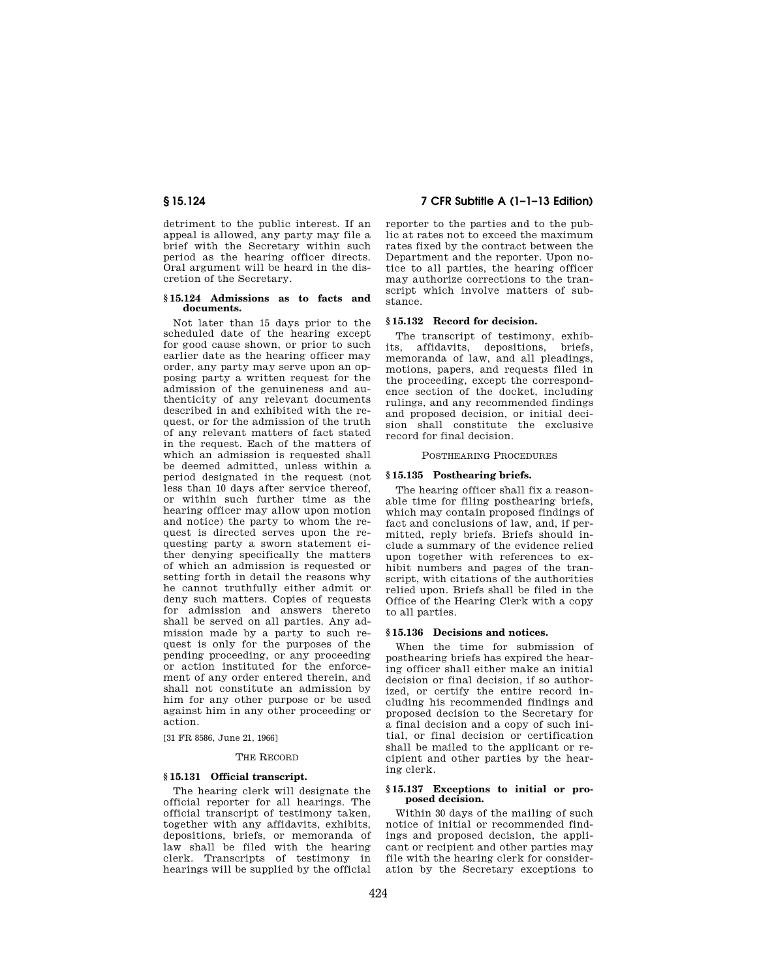detriment to the public interest. If an appeal is allowed, any party may file a brief with the Secretary within such period as the hearing officer directs. Oral argument will be heard in the discretion of the Secretary.

#### **§ 15.124 Admissions as to facts and documents.**

Not later than 15 days prior to the scheduled date of the hearing except for good cause shown, or prior to such earlier date as the hearing officer may order, any party may serve upon an opposing party a written request for the admission of the genuineness and authenticity of any relevant documents described in and exhibited with the request, or for the admission of the truth of any relevant matters of fact stated in the request. Each of the matters of which an admission is requested shall be deemed admitted, unless within a period designated in the request (not less than 10 days after service thereof, or within such further time as the hearing officer may allow upon motion and notice) the party to whom the request is directed serves upon the requesting party a sworn statement either denying specifically the matters of which an admission is requested or setting forth in detail the reasons why he cannot truthfully either admit or deny such matters. Copies of requests for admission and answers thereto shall be served on all parties. Any admission made by a party to such request is only for the purposes of the pending proceeding, or any proceeding or action instituted for the enforcement of any order entered therein, and shall not constitute an admission by him for any other purpose or be used against him in any other proceeding or action.

[31 FR 8586, June 21, 1966]

#### THE RECORD

#### **§ 15.131 Official transcript.**

The hearing clerk will designate the official reporter for all hearings. The official transcript of testimony taken, together with any affidavits, exhibits, depositions, briefs, or memoranda of law shall be filed with the hearing clerk. Transcripts of testimony in hearings will be supplied by the official

# **§ 15.124 7 CFR Subtitle A (1–1–13 Edition)**

reporter to the parties and to the public at rates not to exceed the maximum rates fixed by the contract between the Department and the reporter. Upon notice to all parties, the hearing officer may authorize corrections to the transcript which involve matters of substance.

### **§ 15.132 Record for decision.**

The transcript of testimony, exhibits affidavits depositions briefs affidavits, depositions, briefs, memoranda of law, and all pleadings, motions, papers, and requests filed in the proceeding, except the correspondence section of the docket, including rulings, and any recommended findings and proposed decision, or initial decision shall constitute the exclusive record for final decision.

# POSTHEARING PROCEDURES

### **§ 15.135 Posthearing briefs.**

The hearing officer shall fix a reasonable time for filing posthearing briefs, which may contain proposed findings of fact and conclusions of law, and, if permitted, reply briefs. Briefs should include a summary of the evidence relied upon together with references to exhibit numbers and pages of the transcript, with citations of the authorities relied upon. Briefs shall be filed in the Office of the Hearing Clerk with a copy to all parties.

#### **§ 15.136 Decisions and notices.**

When the time for submission of posthearing briefs has expired the hearing officer shall either make an initial decision or final decision, if so authorized, or certify the entire record including his recommended findings and proposed decision to the Secretary for a final decision and a copy of such initial, or final decision or certification shall be mailed to the applicant or recipient and other parties by the hearing clerk.

#### **§ 15.137 Exceptions to initial or proposed decision.**

Within 30 days of the mailing of such notice of initial or recommended findings and proposed decision, the applicant or recipient and other parties may file with the hearing clerk for consideration by the Secretary exceptions to